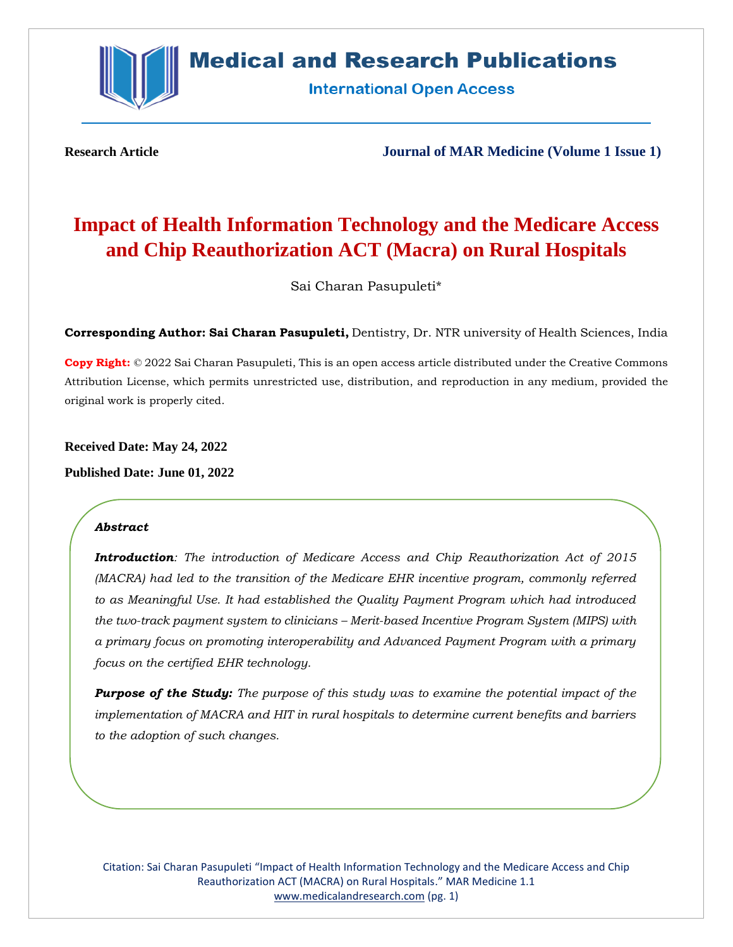

# **Medical and Research Publications**

**International Open Access** 

**Research Article Journal of MAR Medicine (Volume 1 Issue 1)**

# **Impact of Health Information Technology and the Medicare Access and Chip Reauthorization ACT (Macra) on Rural Hospitals**

Sai Charan Pasupuleti\*

**Corresponding Author: Sai Charan Pasupuleti,** Dentistry, Dr. NTR university of Health Sciences, India

**Copy Right:** © 2022 Sai Charan Pasupuleti, This is an open access article distributed under the Creative Commons Attribution License, which permits unrestricted use, distribution, and reproduction in any medium, provided the original work is properly cited.

**Received Date: May 24, 2022**

**Published Date: June 01, 2022**

# *Abstract*

*Introduction: The introduction of Medicare Access and Chip Reauthorization Act of 2015 (MACRA) had led to the transition of the Medicare EHR incentive program, commonly referred to as Meaningful Use. It had established the Quality Payment Program which had introduced the two-track payment system to clinicians – Merit-based Incentive Program System (MIPS) with a primary focus on promoting interoperability and Advanced Payment Program with a primary focus on the certified EHR technology.*

*Purpose of the Study: The purpose of this study was to examine the potential impact of the implementation of MACRA and HIT in rural hospitals to determine current benefits and barriers to the adoption of such changes.*

Citation: Sai Charan Pasupuleti "Impact of Health Information Technology and the Medicare Access and Chip Reauthorization ACT (MACRA) on Rural Hospitals." MAR Medicine 1.1 [www.medicalandresearch.com](http://www.medicalandresearch.com/) (pg. 1)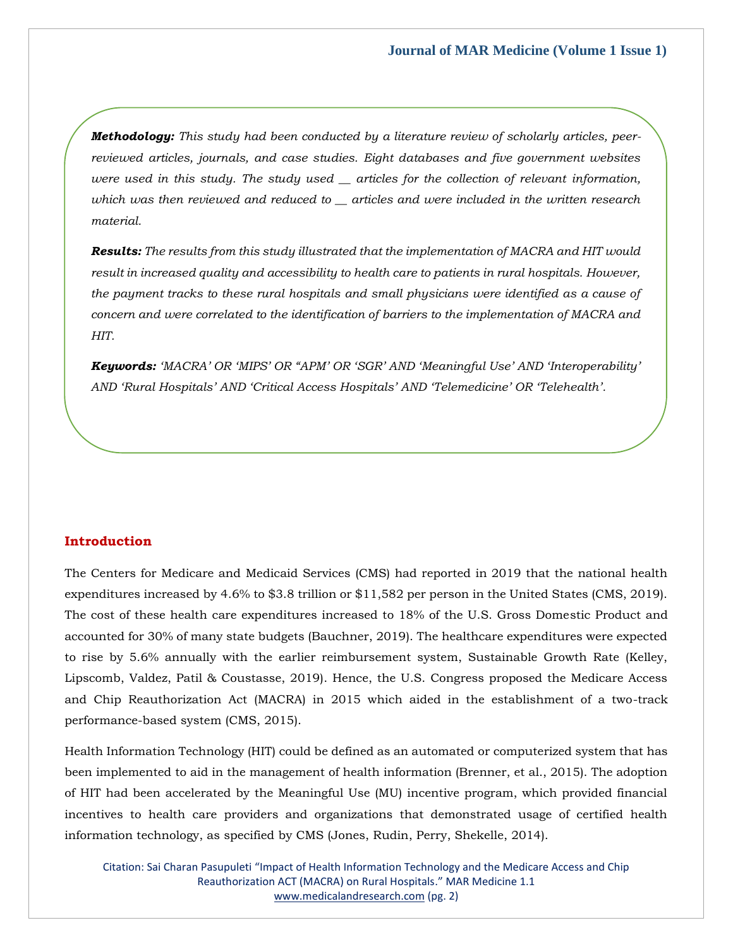*Methodology: This study had been conducted by a literature review of scholarly articles, peerreviewed articles, journals, and case studies. Eight databases and five government websites were used in this study. The study used \_\_ articles for the collection of relevant information, which was then reviewed and reduced to \_\_ articles and were included in the written research material.*

*Results: The results from this study illustrated that the implementation of MACRA and HIT would result in increased quality and accessibility to health care to patients in rural hospitals. However, the payment tracks to these rural hospitals and small physicians were identified as a cause of concern and were correlated to the identification of barriers to the implementation of MACRA and HIT.*

*Keywords: 'MACRA' OR 'MIPS' OR "APM' OR 'SGR' AND 'Meaningful Use' AND 'Interoperability' AND 'Rural Hospitals' AND 'Critical Access Hospitals' AND 'Telemedicine' OR 'Telehealth'.*

# **Introduction**

The Centers for Medicare and Medicaid Services (CMS) had reported in 2019 that the national health expenditures increased by 4.6% to \$3.8 trillion or \$11,582 per person in the United States (CMS, 2019). The cost of these health care expenditures increased to 18% of the U.S. Gross Domestic Product and accounted for 30% of many state budgets (Bauchner, 2019). The healthcare expenditures were expected to rise by 5.6% annually with the earlier reimbursement system, Sustainable Growth Rate (Kelley, Lipscomb, Valdez, Patil & Coustasse, 2019). Hence, the U.S. Congress proposed the Medicare Access and Chip Reauthorization Act (MACRA) in 2015 which aided in the establishment of a two-track performance-based system (CMS, 2015).

Health Information Technology (HIT) could be defined as an automated or computerized system that has been implemented to aid in the management of health information (Brenner, et al., 2015). The adoption of HIT had been accelerated by the Meaningful Use (MU) incentive program, which provided financial incentives to health care providers and organizations that demonstrated usage of certified health information technology, as specified by CMS (Jones, Rudin, Perry, Shekelle, 2014).

Citation: Sai Charan Pasupuleti "Impact of Health Information Technology and the Medicare Access and Chip Reauthorization ACT (MACRA) on Rural Hospitals." MAR Medicine 1.1 [www.medicalandresearch.com](http://www.medicalandresearch.com/) (pg. 2)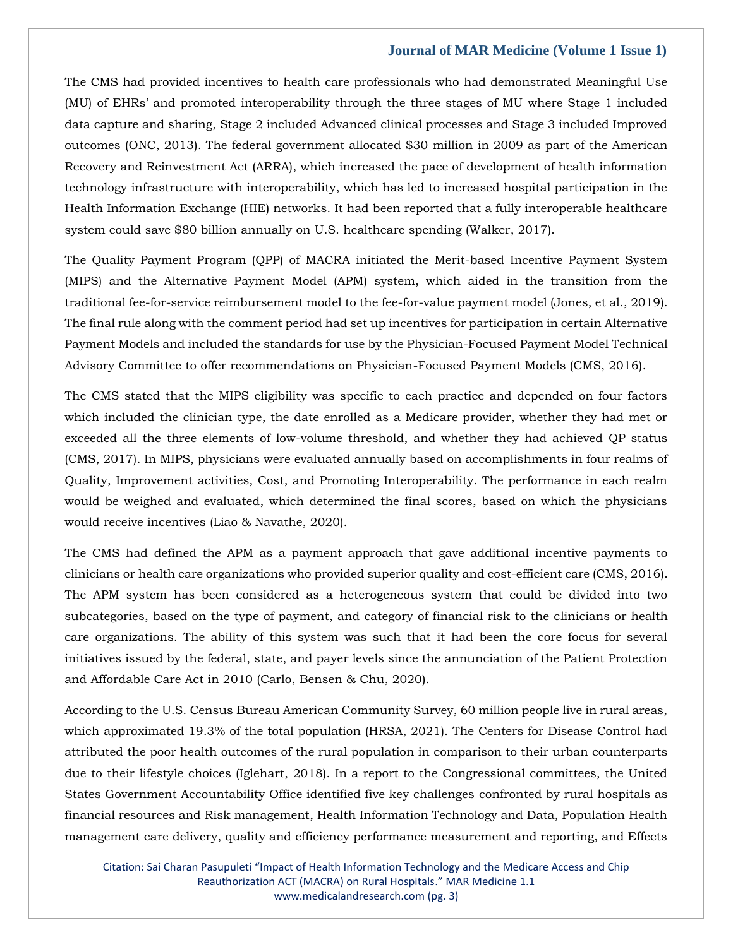The CMS had provided incentives to health care professionals who had demonstrated Meaningful Use (MU) of EHRs' and promoted interoperability through the three stages of MU where Stage 1 included data capture and sharing, Stage 2 included Advanced clinical processes and Stage 3 included Improved outcomes (ONC, 2013). The federal government allocated \$30 million in 2009 as part of the American Recovery and Reinvestment Act (ARRA), which increased the pace of development of health information technology infrastructure with interoperability, which has led to increased hospital participation in the Health Information Exchange (HIE) networks. It had been reported that a fully interoperable healthcare system could save \$80 billion annually on U.S. healthcare spending (Walker, 2017).

The Quality Payment Program (QPP) of MACRA initiated the Merit-based Incentive Payment System (MIPS) and the Alternative Payment Model (APM) system, which aided in the transition from the traditional fee-for-service reimbursement model to the fee-for-value payment model (Jones, et al., 2019). The final rule along with the comment period had set up incentives for participation in certain Alternative Payment Models and included the standards for use by the Physician-Focused Payment Model Technical Advisory Committee to offer recommendations on Physician-Focused Payment Models (CMS, 2016).

The CMS stated that the MIPS eligibility was specific to each practice and depended on four factors which included the clinician type, the date enrolled as a Medicare provider, whether they had met or exceeded all the three elements of low-volume threshold, and whether they had achieved QP status (CMS, 2017). In MIPS, physicians were evaluated annually based on accomplishments in four realms of Quality, Improvement activities, Cost, and Promoting Interoperability. The performance in each realm would be weighed and evaluated, which determined the final scores, based on which the physicians would receive incentives (Liao & Navathe, 2020).

The CMS had defined the APM as a payment approach that gave additional incentive payments to clinicians or health care organizations who provided superior quality and cost-efficient care (CMS, 2016). The APM system has been considered as a heterogeneous system that could be divided into two subcategories, based on the type of payment, and category of financial risk to the clinicians or health care organizations. The ability of this system was such that it had been the core focus for several initiatives issued by the federal, state, and payer levels since the annunciation of the Patient Protection and Affordable Care Act in 2010 (Carlo, Bensen & Chu, 2020).

According to the U.S. Census Bureau American Community Survey, 60 million people live in rural areas, which approximated 19.3% of the total population (HRSA, 2021). The Centers for Disease Control had attributed the poor health outcomes of the rural population in comparison to their urban counterparts due to their lifestyle choices (Iglehart, 2018). In a report to the Congressional committees, the United States Government Accountability Office identified five key challenges confronted by rural hospitals as financial resources and Risk management, Health Information Technology and Data, Population Health management care delivery, quality and efficiency performance measurement and reporting, and Effects

Citation: Sai Charan Pasupuleti "Impact of Health Information Technology and the Medicare Access and Chip Reauthorization ACT (MACRA) on Rural Hospitals." MAR Medicine 1.1 [www.medicalandresearch.com](http://www.medicalandresearch.com/) (pg. 3)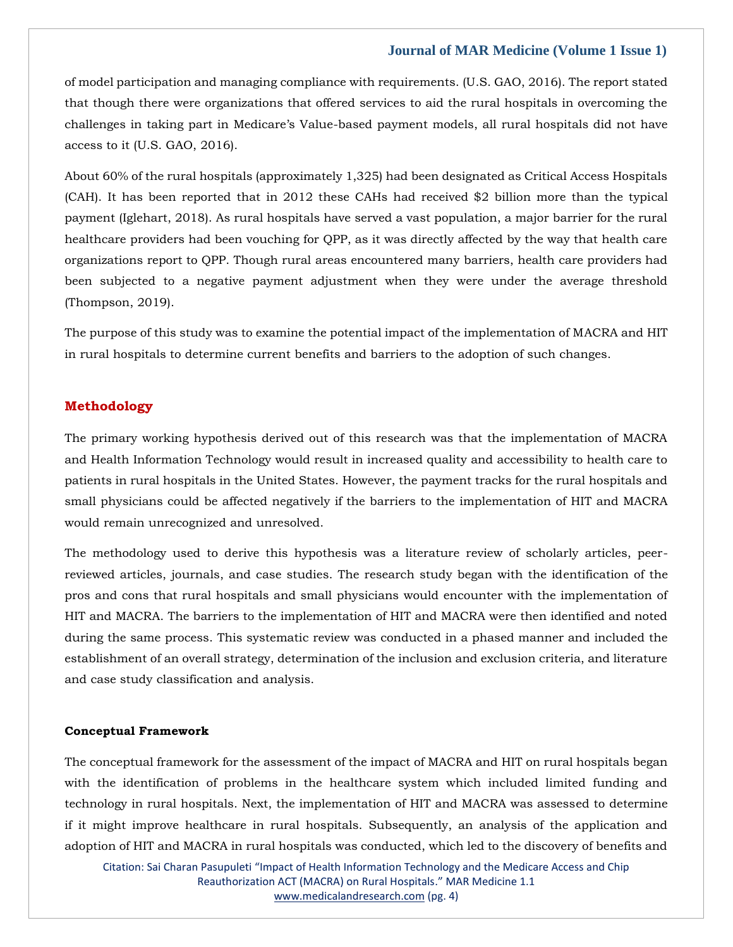of model participation and managing compliance with requirements. (U.S. GAO, 2016). The report stated that though there were organizations that offered services to aid the rural hospitals in overcoming the challenges in taking part in Medicare's Value-based payment models, all rural hospitals did not have access to it (U.S. GAO, 2016).

About 60% of the rural hospitals (approximately 1,325) had been designated as Critical Access Hospitals (CAH). It has been reported that in 2012 these CAHs had received \$2 billion more than the typical payment (Iglehart, 2018). As rural hospitals have served a vast population, a major barrier for the rural healthcare providers had been vouching for QPP, as it was directly affected by the way that health care organizations report to QPP. Though rural areas encountered many barriers, health care providers had been subjected to a negative payment adjustment when they were under the average threshold (Thompson, 2019).

The purpose of this study was to examine the potential impact of the implementation of MACRA and HIT in rural hospitals to determine current benefits and barriers to the adoption of such changes.

### **Methodology**

The primary working hypothesis derived out of this research was that the implementation of MACRA and Health Information Technology would result in increased quality and accessibility to health care to patients in rural hospitals in the United States. However, the payment tracks for the rural hospitals and small physicians could be affected negatively if the barriers to the implementation of HIT and MACRA would remain unrecognized and unresolved.

The methodology used to derive this hypothesis was a literature review of scholarly articles, peerreviewed articles, journals, and case studies. The research study began with the identification of the pros and cons that rural hospitals and small physicians would encounter with the implementation of HIT and MACRA. The barriers to the implementation of HIT and MACRA were then identified and noted during the same process. This systematic review was conducted in a phased manner and included the establishment of an overall strategy, determination of the inclusion and exclusion criteria, and literature and case study classification and analysis.

#### **Conceptual Framework**

The conceptual framework for the assessment of the impact of MACRA and HIT on rural hospitals began with the identification of problems in the healthcare system which included limited funding and technology in rural hospitals. Next, the implementation of HIT and MACRA was assessed to determine if it might improve healthcare in rural hospitals. Subsequently, an analysis of the application and adoption of HIT and MACRA in rural hospitals was conducted, which led to the discovery of benefits and

Citation: Sai Charan Pasupuleti "Impact of Health Information Technology and the Medicare Access and Chip Reauthorization ACT (MACRA) on Rural Hospitals." MAR Medicine 1.1 [www.medicalandresearch.com](http://www.medicalandresearch.com/) (pg. 4)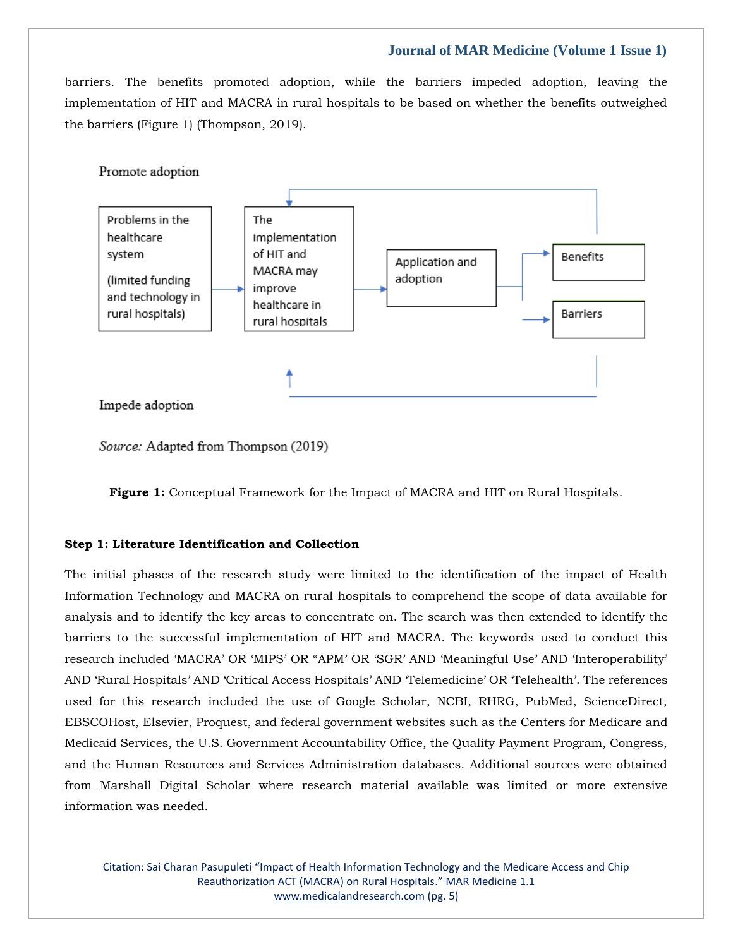barriers. The benefits promoted adoption, while the barriers impeded adoption, leaving the implementation of HIT and MACRA in rural hospitals to be based on whether the benefits outweighed the barriers (Figure 1) (Thompson, 2019).



Source: Adapted from Thompson (2019)

**Figure 1:** Conceptual Framework for the Impact of MACRA and HIT on Rural Hospitals.

#### **Step 1: Literature Identification and Collection**

The initial phases of the research study were limited to the identification of the impact of Health Information Technology and MACRA on rural hospitals to comprehend the scope of data available for analysis and to identify the key areas to concentrate on. The search was then extended to identify the barriers to the successful implementation of HIT and MACRA. The keywords used to conduct this research included 'MACRA' OR 'MIPS' OR "APM' OR 'SGR' AND 'Meaningful Use' AND 'Interoperability' AND 'Rural Hospitals' AND 'Critical Access Hospitals' AND 'Telemedicine' OR 'Telehealth'. The references used for this research included the use of Google Scholar, NCBI, RHRG, PubMed, ScienceDirect, EBSCOHost, Elsevier, Proquest, and federal government websites such as the Centers for Medicare and Medicaid Services, the U.S. Government Accountability Office, the Quality Payment Program, Congress, and the Human Resources and Services Administration databases. Additional sources were obtained from Marshall Digital Scholar where research material available was limited or more extensive information was needed.

Citation: Sai Charan Pasupuleti "Impact of Health Information Technology and the Medicare Access and Chip Reauthorization ACT (MACRA) on Rural Hospitals." MAR Medicine 1.1 [www.medicalandresearch.com](http://www.medicalandresearch.com/) (pg. 5)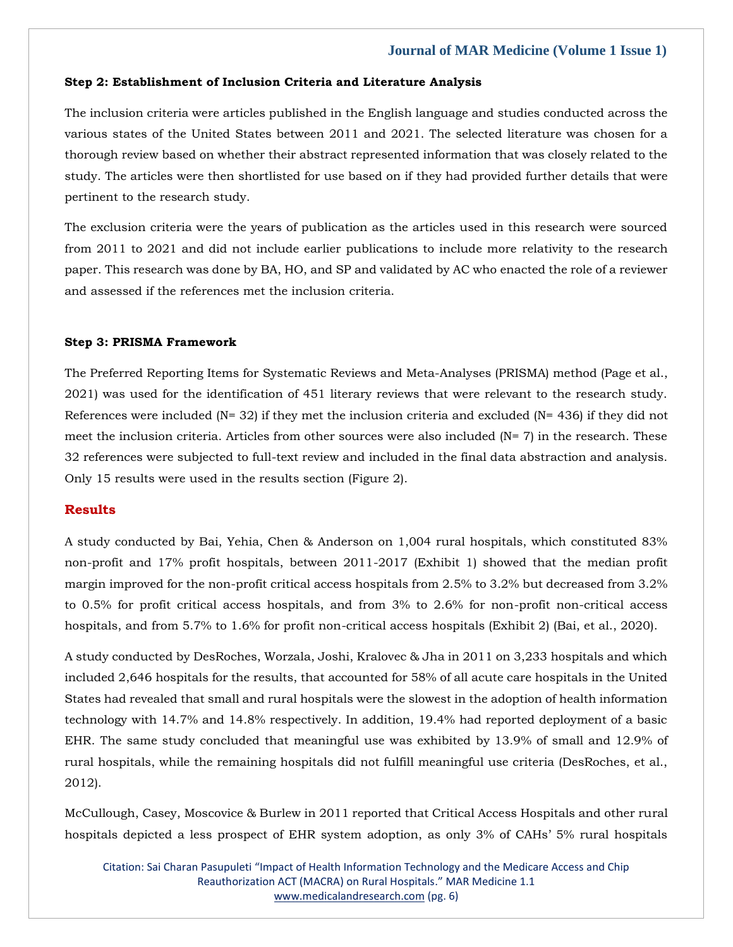#### **Step 2: Establishment of Inclusion Criteria and Literature Analysis**

The inclusion criteria were articles published in the English language and studies conducted across the various states of the United States between 2011 and 2021. The selected literature was chosen for a thorough review based on whether their abstract represented information that was closely related to the study. The articles were then shortlisted for use based on if they had provided further details that were pertinent to the research study.

The exclusion criteria were the years of publication as the articles used in this research were sourced from 2011 to 2021 and did not include earlier publications to include more relativity to the research paper. This research was done by BA, HO, and SP and validated by AC who enacted the role of a reviewer and assessed if the references met the inclusion criteria.

## **Step 3: PRISMA Framework**

The Preferred Reporting Items for Systematic Reviews and Meta-Analyses (PRISMA) method (Page et al., 2021) was used for the identification of 451 literary reviews that were relevant to the research study. References were included ( $N = 32$ ) if they met the inclusion criteria and excluded ( $N = 436$ ) if they did not meet the inclusion criteria. Articles from other sources were also included  $(N= 7)$  in the research. These 32 references were subjected to full-text review and included in the final data abstraction and analysis. Only 15 results were used in the results section (Figure 2).

# **Results**

A study conducted by Bai, Yehia, Chen & Anderson on 1,004 rural hospitals, which constituted 83% non-profit and 17% profit hospitals, between 2011-2017 (Exhibit 1) showed that the median profit margin improved for the non-profit critical access hospitals from 2.5% to 3.2% but decreased from 3.2% to 0.5% for profit critical access hospitals, and from 3% to 2.6% for non-profit non-critical access hospitals, and from 5.7% to 1.6% for profit non-critical access hospitals (Exhibit 2) (Bai, et al., 2020).

A study conducted by DesRoches, Worzala, Joshi, Kralovec & Jha in 2011 on 3,233 hospitals and which included 2,646 hospitals for the results, that accounted for 58% of all acute care hospitals in the United States had revealed that small and rural hospitals were the slowest in the adoption of health information technology with 14.7% and 14.8% respectively. In addition, 19.4% had reported deployment of a basic EHR. The same study concluded that meaningful use was exhibited by 13.9% of small and 12.9% of rural hospitals, while the remaining hospitals did not fulfill meaningful use criteria (DesRoches, et al., 2012).

McCullough, Casey, Moscovice & Burlew in 2011 reported that Critical Access Hospitals and other rural hospitals depicted a less prospect of EHR system adoption, as only 3% of CAHs' 5% rural hospitals

Citation: Sai Charan Pasupuleti "Impact of Health Information Technology and the Medicare Access and Chip Reauthorization ACT (MACRA) on Rural Hospitals." MAR Medicine 1.1 [www.medicalandresearch.com](http://www.medicalandresearch.com/) (pg. 6)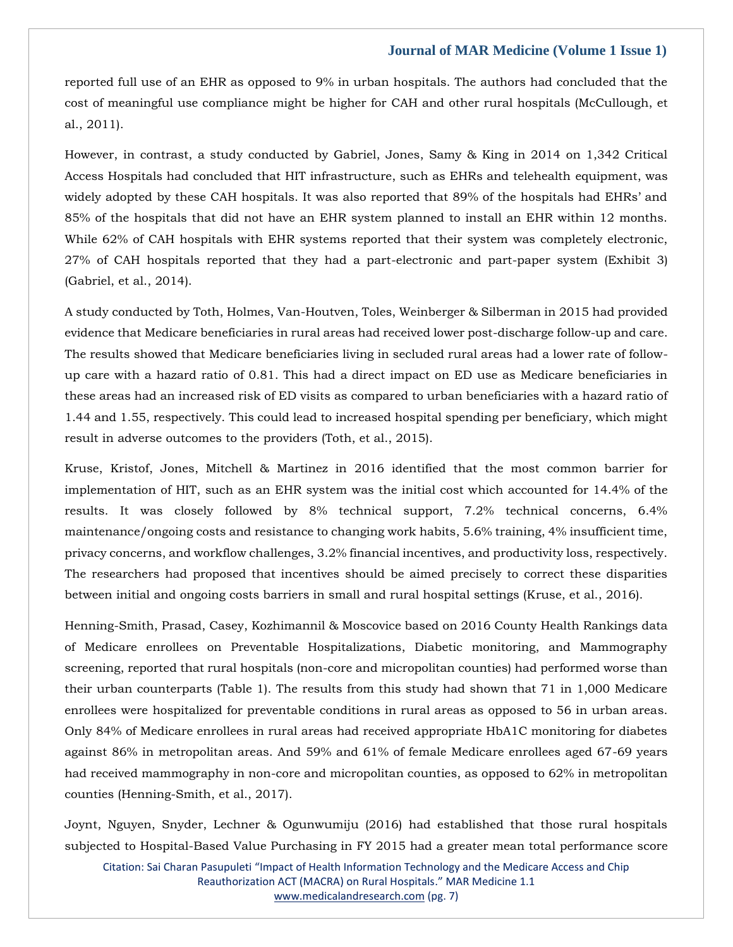reported full use of an EHR as opposed to 9% in urban hospitals. The authors had concluded that the cost of meaningful use compliance might be higher for CAH and other rural hospitals (McCullough, et al., 2011).

However, in contrast, a study conducted by Gabriel, Jones, Samy & King in 2014 on 1,342 Critical Access Hospitals had concluded that HIT infrastructure, such as EHRs and telehealth equipment, was widely adopted by these CAH hospitals. It was also reported that 89% of the hospitals had EHRs' and 85% of the hospitals that did not have an EHR system planned to install an EHR within 12 months. While 62% of CAH hospitals with EHR systems reported that their system was completely electronic, 27% of CAH hospitals reported that they had a part-electronic and part-paper system (Exhibit 3) (Gabriel, et al., 2014).

A study conducted by Toth, Holmes, Van-Houtven, Toles, Weinberger & Silberman in 2015 had provided evidence that Medicare beneficiaries in rural areas had received lower post-discharge follow-up and care. The results showed that Medicare beneficiaries living in secluded rural areas had a lower rate of followup care with a hazard ratio of 0.81. This had a direct impact on ED use as Medicare beneficiaries in these areas had an increased risk of ED visits as compared to urban beneficiaries with a hazard ratio of 1.44 and 1.55, respectively. This could lead to increased hospital spending per beneficiary, which might result in adverse outcomes to the providers (Toth, et al., 2015).

Kruse, Kristof, Jones, Mitchell & Martinez in 2016 identified that the most common barrier for implementation of HIT, such as an EHR system was the initial cost which accounted for 14.4% of the results. It was closely followed by 8% technical support, 7.2% technical concerns, 6.4% maintenance/ongoing costs and resistance to changing work habits, 5.6% training, 4% insufficient time, privacy concerns, and workflow challenges, 3.2% financial incentives, and productivity loss, respectively. The researchers had proposed that incentives should be aimed precisely to correct these disparities between initial and ongoing costs barriers in small and rural hospital settings (Kruse, et al., 2016).

Henning-Smith, Prasad, Casey, Kozhimannil & Moscovice based on 2016 County Health Rankings data of Medicare enrollees on Preventable Hospitalizations, Diabetic monitoring, and Mammography screening, reported that rural hospitals (non-core and micropolitan counties) had performed worse than their urban counterparts (Table 1). The results from this study had shown that 71 in 1,000 Medicare enrollees were hospitalized for preventable conditions in rural areas as opposed to 56 in urban areas. Only 84% of Medicare enrollees in rural areas had received appropriate HbA1C monitoring for diabetes against 86% in metropolitan areas. And 59% and 61% of female Medicare enrollees aged 67-69 years had received mammography in non-core and micropolitan counties, as opposed to 62% in metropolitan counties (Henning-Smith, et al., 2017).

Joynt, Nguyen, Snyder, Lechner & Ogunwumiju (2016) had established that those rural hospitals subjected to Hospital-Based Value Purchasing in FY 2015 had a greater mean total performance score

Citation: Sai Charan Pasupuleti "Impact of Health Information Technology and the Medicare Access and Chip Reauthorization ACT (MACRA) on Rural Hospitals." MAR Medicine 1.1 [www.medicalandresearch.com](http://www.medicalandresearch.com/) (pg. 7)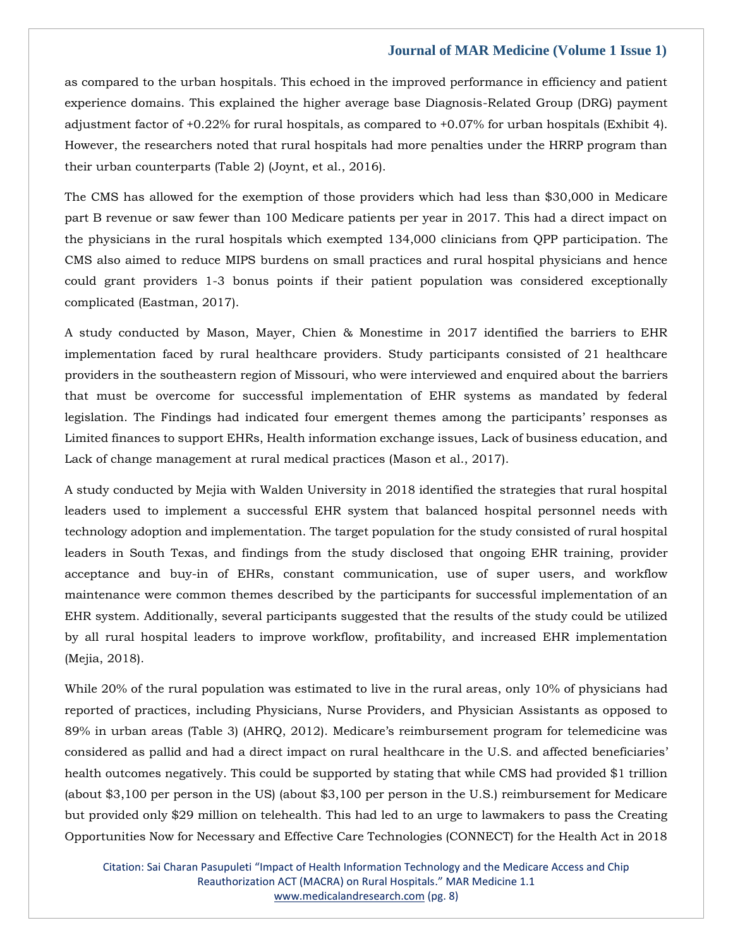as compared to the urban hospitals. This echoed in the improved performance in efficiency and patient experience domains. This explained the higher average base Diagnosis-Related Group (DRG) payment adjustment factor of +0.22% for rural hospitals, as compared to +0.07% for urban hospitals (Exhibit 4). However, the researchers noted that rural hospitals had more penalties under the HRRP program than their urban counterparts (Table 2) (Joynt, et al., 2016).

The CMS has allowed for the exemption of those providers which had less than \$30,000 in Medicare part B revenue or saw fewer than 100 Medicare patients per year in 2017. This had a direct impact on the physicians in the rural hospitals which exempted 134,000 clinicians from QPP participation. The CMS also aimed to reduce MIPS burdens on small practices and rural hospital physicians and hence could grant providers 1-3 bonus points if their patient population was considered exceptionally complicated (Eastman, 2017).

A study conducted by Mason, Mayer, Chien & Monestime in 2017 identified the barriers to EHR implementation faced by rural healthcare providers. Study participants consisted of 21 healthcare providers in the southeastern region of Missouri, who were interviewed and enquired about the barriers that must be overcome for successful implementation of EHR systems as mandated by federal legislation. The Findings had indicated four emergent themes among the participants' responses as Limited finances to support EHRs, Health information exchange issues, Lack of business education, and Lack of change management at rural medical practices (Mason et al., 2017).

A study conducted by Mejia with Walden University in 2018 identified the strategies that rural hospital leaders used to implement a successful EHR system that balanced hospital personnel needs with technology adoption and implementation. The target population for the study consisted of rural hospital leaders in South Texas, and findings from the study disclosed that ongoing EHR training, provider acceptance and buy-in of EHRs, constant communication, use of super users, and workflow maintenance were common themes described by the participants for successful implementation of an EHR system. Additionally, several participants suggested that the results of the study could be utilized by all rural hospital leaders to improve workflow, profitability, and increased EHR implementation (Mejia, 2018).

While 20% of the rural population was estimated to live in the rural areas, only 10% of physicians had reported of practices, including Physicians, Nurse Providers, and Physician Assistants as opposed to 89% in urban areas (Table 3) (AHRQ, 2012). Medicare's reimbursement program for telemedicine was considered as pallid and had a direct impact on rural healthcare in the U.S. and affected beneficiaries' health outcomes negatively. This could be supported by stating that while CMS had provided \$1 trillion (about \$3,100 per person in the US) (about \$3,100 per person in the U.S.) reimbursement for Medicare but provided only \$29 million on telehealth. This had led to an urge to lawmakers to pass the Creating Opportunities Now for Necessary and Effective Care Technologies (CONNECT) for the Health Act in 2018

Citation: Sai Charan Pasupuleti "Impact of Health Information Technology and the Medicare Access and Chip Reauthorization ACT (MACRA) on Rural Hospitals." MAR Medicine 1.1 [www.medicalandresearch.com](http://www.medicalandresearch.com/) (pg. 8)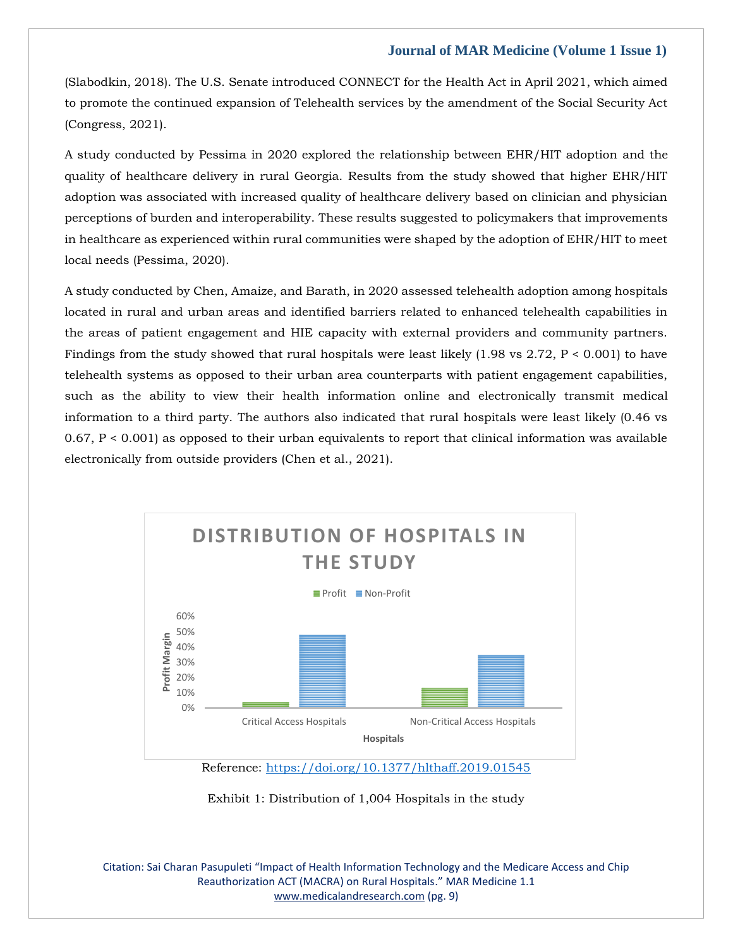(Slabodkin, 2018). The U.S. Senate introduced CONNECT for the Health Act in April 2021, which aimed to promote the continued expansion of Telehealth services by the amendment of the Social Security Act (Congress, 2021).

A study conducted by Pessima in 2020 explored the relationship between EHR/HIT adoption and the quality of healthcare delivery in rural Georgia. Results from the study showed that higher EHR/HIT adoption was associated with increased quality of healthcare delivery based on clinician and physician perceptions of burden and interoperability. These results suggested to policymakers that improvements in healthcare as experienced within rural communities were shaped by the adoption of EHR/HIT to meet local needs (Pessima, 2020).

A study conducted by Chen, Amaize, and Barath, in 2020 assessed telehealth adoption among hospitals located in rural and urban areas and identified barriers related to enhanced telehealth capabilities in the areas of patient engagement and HIE capacity with external providers and community partners. Findings from the study showed that rural hospitals were least likely  $(1.98 \text{ vs } 2.72, P < 0.001)$  to have telehealth systems as opposed to their urban area counterparts with patient engagement capabilities, such as the ability to view their health information online and electronically transmit medical information to a third party. The authors also indicated that rural hospitals were least likely (0.46 vs  $0.67$ ,  $P < 0.001$  as opposed to their urban equivalents to report that clinical information was available electronically from outside providers (Chen et al., 2021).



Reference:<https://doi.org/10.1377/hlthaff.2019.01545>

Exhibit 1: Distribution of 1,004 Hospitals in the study

Citation: Sai Charan Pasupuleti "Impact of Health Information Technology and the Medicare Access and Chip Reauthorization ACT (MACRA) on Rural Hospitals." MAR Medicine 1.1 [www.medicalandresearch.com](http://www.medicalandresearch.com/) (pg. 9)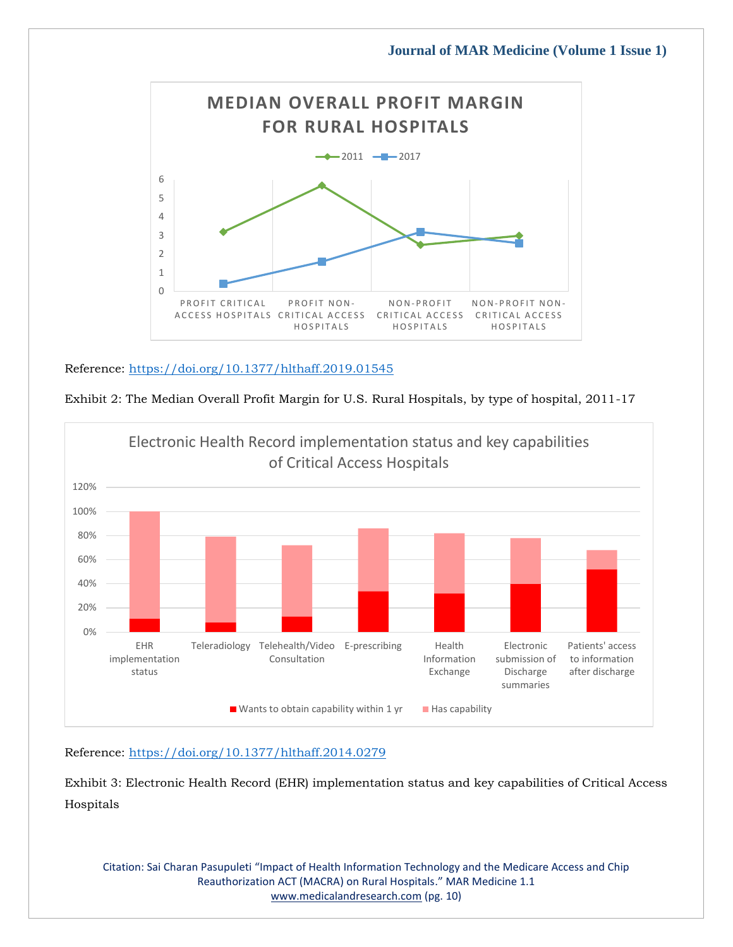

# Reference:<https://doi.org/10.1377/hlthaff.2019.01545>



Exhibit 2: The Median Overall Profit Margin for U.S. Rural Hospitals, by type of hospital, 2011-17

# Reference:<https://doi.org/10.1377/hlthaff.2014.0279>

Exhibit 3: Electronic Health Record (EHR) implementation status and key capabilities of Critical Access Hospitals

Citation: Sai Charan Pasupuleti "Impact of Health Information Technology and the Medicare Access and Chip Reauthorization ACT (MACRA) on Rural Hospitals." MAR Medicine 1.1 [www.medicalandresearch.com](http://www.medicalandresearch.com/) (pg. 10)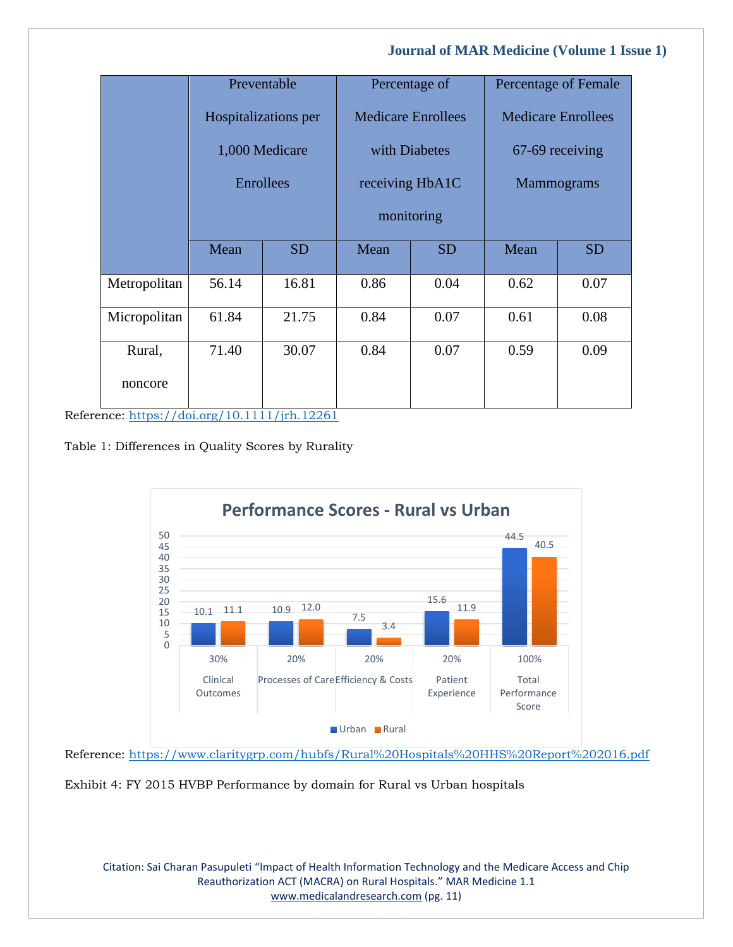|              |                                        | Preventable | Percentage of                              |           | Percentage of Female      |           |
|--------------|----------------------------------------|-------------|--------------------------------------------|-----------|---------------------------|-----------|
|              | Hospitalizations per<br>1,000 Medicare |             | <b>Medicare Enrollees</b><br>with Diabetes |           | <b>Medicare Enrollees</b> |           |
|              |                                        |             |                                            |           | 67-69 receiving           |           |
|              | Enrollees                              |             | receiving HbA1C                            |           | <b>Mammograms</b>         |           |
|              |                                        |             | monitoring                                 |           |                           |           |
|              | Mean                                   | <b>SD</b>   | Mean                                       | <b>SD</b> | Mean                      | <b>SD</b> |
| Metropolitan | 56.14                                  | 16.81       | 0.86                                       | 0.04      | 0.62                      | 0.07      |
| Micropolitan | 61.84                                  | 21.75       | 0.84                                       | 0.07      | 0.61                      | 0.08      |
| Rural,       | 71.40                                  | 30.07       | 0.84                                       | 0.07      | 0.59                      | 0.09      |
| noncore      |                                        |             |                                            |           |                           |           |

Reference:<https://doi.org/10.1111/jrh.12261>

Table 1: Differences in Quality Scores by Rurality



Reference:<https://www.claritygrp.com/hubfs/Rural%20Hospitals%20HHS%20Report%202016.pdf>

Exhibit 4: FY 2015 HVBP Performance by domain for Rural vs Urban hospitals

Citation: Sai Charan Pasupuleti "Impact of Health Information Technology and the Medicare Access and Chip Reauthorization ACT (MACRA) on Rural Hospitals." MAR Medicine 1.1 [www.medicalandresearch.com](http://www.medicalandresearch.com/) (pg. 11)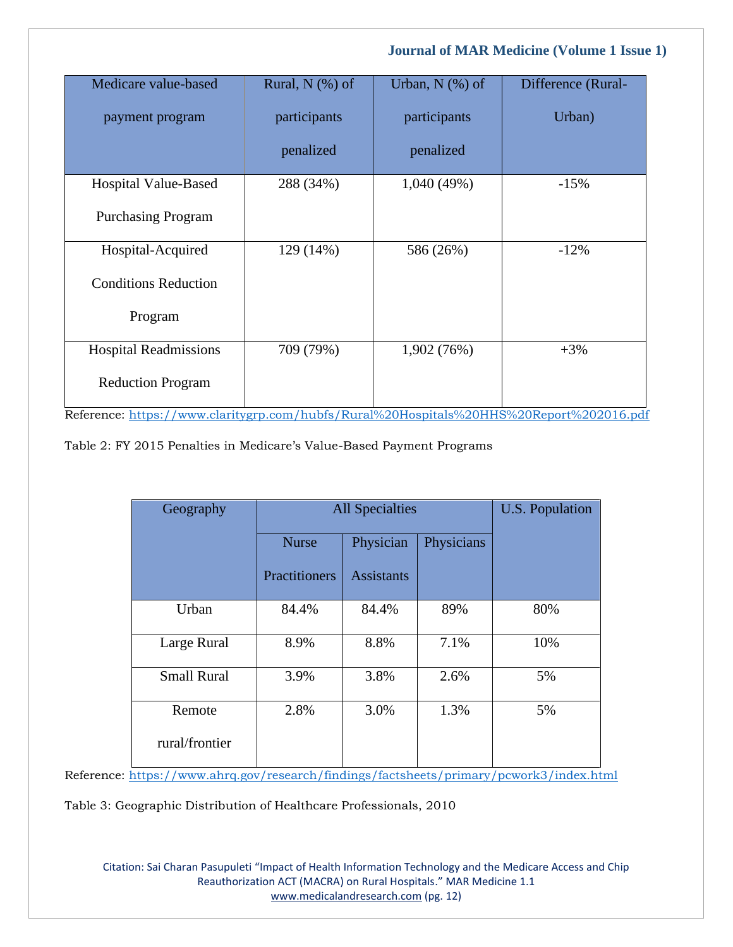| Medicare value-based         | Rural, $N$ (%) of | Urban, $N$ $(\%)$ of                                  | Difference (Rural-                                                                         |
|------------------------------|-------------------|-------------------------------------------------------|--------------------------------------------------------------------------------------------|
| payment program              | participants      | participants                                          | Urban)                                                                                     |
|                              | penalized         | penalized                                             |                                                                                            |
| Hospital Value-Based         | 288 (34%)         | 1,040(49%)                                            | $-15%$                                                                                     |
| <b>Purchasing Program</b>    |                   |                                                       |                                                                                            |
| Hospital-Acquired            | 129 (14%)         | 586 (26%)                                             | $-12%$                                                                                     |
| <b>Conditions Reduction</b>  |                   |                                                       |                                                                                            |
| Program                      |                   |                                                       |                                                                                            |
| <b>Hospital Readmissions</b> | 709 (79%)         | 1,902 (76%)                                           | $+3%$                                                                                      |
| <b>Reduction Program</b>     |                   | $\cdots$ $\cdots$ $\cdots$ $\cdots$ $\cdots$ $\cdots$ | $\begin{array}{c} \n\bullet & \bullet & \bullet & \bullet & \bullet & \bullet \end{array}$ |

Reference:<https://www.claritygrp.com/hubfs/Rural%20Hospitals%20HHS%20Report%202016.pdf>

Table 2: FY 2015 Penalties in Medicare's Value-Based Payment Programs

| Geography          | <b>All Specialties</b> | <b>U.S. Population</b> |            |     |
|--------------------|------------------------|------------------------|------------|-----|
|                    | <b>Nurse</b>           | Physician              | Physicians |     |
|                    | Practitioners          | <b>Assistants</b>      |            |     |
| Urban              | 84.4%                  | 84.4%                  | 89%        | 80% |
| Large Rural        | 8.9%                   | 8.8%                   | 7.1%       | 10% |
| <b>Small Rural</b> | 3.9%                   | 3.8%                   | 2.6%       | 5%  |
| Remote             | 2.8%                   | 3.0%                   | 1.3%       | 5%  |
| rural/frontier     |                        |                        |            |     |

Reference:<https://www.ahrq.gov/research/findings/factsheets/primary/pcwork3/index.html>

Table 3: Geographic Distribution of Healthcare Professionals, 2010

Citation: Sai Charan Pasupuleti "Impact of Health Information Technology and the Medicare Access and Chip Reauthorization ACT (MACRA) on Rural Hospitals." MAR Medicine 1.1 [www.medicalandresearch.com](http://www.medicalandresearch.com/) (pg. 12)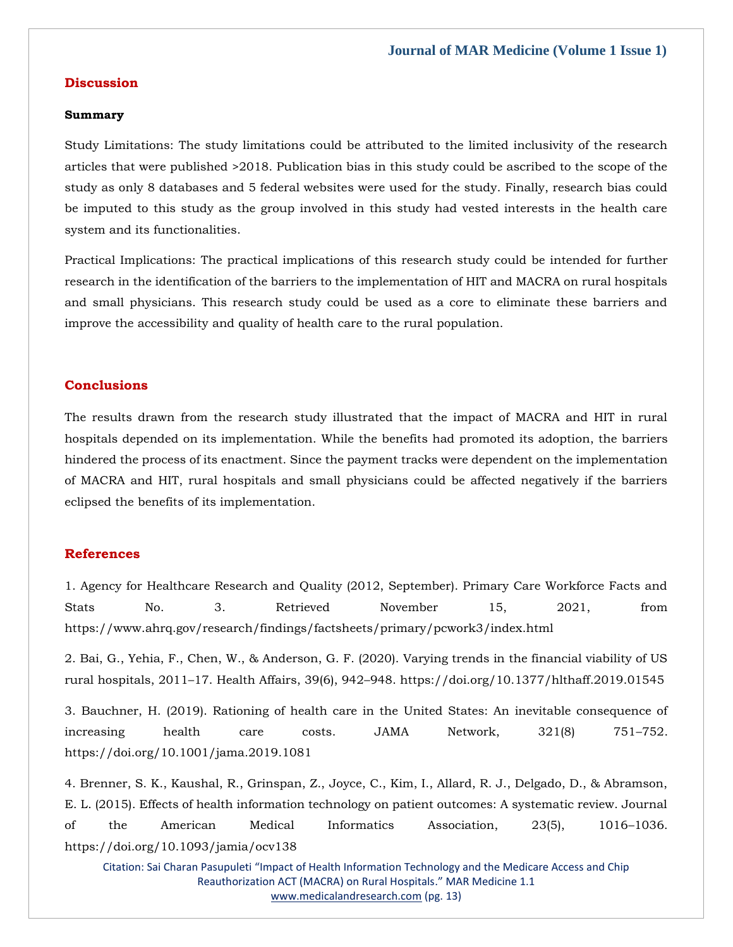# **Discussion**

#### **Summary**

Study Limitations: The study limitations could be attributed to the limited inclusivity of the research articles that were published >2018. Publication bias in this study could be ascribed to the scope of the study as only 8 databases and 5 federal websites were used for the study. Finally, research bias could be imputed to this study as the group involved in this study had vested interests in the health care system and its functionalities.

Practical Implications: The practical implications of this research study could be intended for further research in the identification of the barriers to the implementation of HIT and MACRA on rural hospitals and small physicians. This research study could be used as a core to eliminate these barriers and improve the accessibility and quality of health care to the rural population.

## **Conclusions**

The results drawn from the research study illustrated that the impact of MACRA and HIT in rural hospitals depended on its implementation. While the benefits had promoted its adoption, the barriers hindered the process of its enactment. Since the payment tracks were dependent on the implementation of MACRA and HIT, rural hospitals and small physicians could be affected negatively if the barriers eclipsed the benefits of its implementation.

#### **References**

[1. Agency for Healthcare Research and Quality \(2012, September\). Primary Care Workforce Facts and](file:///C:/Users/Arief%20Mahimudh/Desktop/MAY/1.%20Agency%20for%20Healthcare%20Research%20and%20Quality%20(2012,%20September).%20Primary%20Care%20Workforce%20Facts%20and%20Stats%20No.%203.%20Retrieved%20November%2015,%202021,%20from%20https:/www.ahrq.gov/research/findings/factsheets/primary/pcwork3/index.html)  [Stats No. 3. Retrieved November 15, 2021, from](file:///C:/Users/Arief%20Mahimudh/Desktop/MAY/1.%20Agency%20for%20Healthcare%20Research%20and%20Quality%20(2012,%20September).%20Primary%20Care%20Workforce%20Facts%20and%20Stats%20No.%203.%20Retrieved%20November%2015,%202021,%20from%20https:/www.ahrq.gov/research/findings/factsheets/primary/pcwork3/index.html)  [https://www.ahrq.gov/research/findings/factsheets/primary/pcwork3/index.html](file:///C:/Users/Arief%20Mahimudh/Desktop/MAY/1.%20Agency%20for%20Healthcare%20Research%20and%20Quality%20(2012,%20September).%20Primary%20Care%20Workforce%20Facts%20and%20Stats%20No.%203.%20Retrieved%20November%2015,%202021,%20from%20https:/www.ahrq.gov/research/findings/factsheets/primary/pcwork3/index.html)

[2. Bai, G., Yehia, F., Chen, W., & Anderson, G. F. \(2020\). Varying trends in the financial viability of US](file:///C:/Users/Arief%20Mahimudh/Desktop/MAY/2.%20Bai,%20G.,%20Yehia,%20F.,%20Chen,%20W.,%20&%20Anderson,%20G.%20F.%20(2020).%20Varying%20trends%20in%20the%20financial%20viability%20of%20US%20rural%20hospitals,%202011–17.%20Health%20Affairs,%2039(6),%20942–948.%20https:/doi.org/10.1377/hlthaff.2019.01545)  rural hospitals, 2011–17. Health Affairs, 39(6), 942–[948. https://doi.org/10.1377/hlthaff.2019.01545](file:///C:/Users/Arief%20Mahimudh/Desktop/MAY/2.%20Bai,%20G.,%20Yehia,%20F.,%20Chen,%20W.,%20&%20Anderson,%20G.%20F.%20(2020).%20Varying%20trends%20in%20the%20financial%20viability%20of%20US%20rural%20hospitals,%202011–17.%20Health%20Affairs,%2039(6),%20942–948.%20https:/doi.org/10.1377/hlthaff.2019.01545)

[3. Bauchner, H. \(2019\). Rationing of health care in the United States: An inevitable consequence of](file:///C:/Users/Arief%20Mahimudh/Desktop/MAY/3.%20Bauchner,%20H.%20(2019).%20Rationing%20of%20health%20care%20in%20the%20United%20States:%20An%20inevitable%20consequence%20of%20increasing%20health%20care%20costs.%20JAMA%20Network,%20321(8)%20751–752.%20https:/doi.org/10.1001/jama.2019.1081)  increasing health [care costs. JAMA Network, 321\(8\) 751](file:///C:/Users/Arief%20Mahimudh/Desktop/MAY/3.%20Bauchner,%20H.%20(2019).%20Rationing%20of%20health%20care%20in%20the%20United%20States:%20An%20inevitable%20consequence%20of%20increasing%20health%20care%20costs.%20JAMA%20Network,%20321(8)%20751–752.%20https:/doi.org/10.1001/jama.2019.1081)–752. [https://doi.org/10.1001/jama.2019.1081](file:///C:/Users/Arief%20Mahimudh/Desktop/MAY/3.%20Bauchner,%20H.%20(2019).%20Rationing%20of%20health%20care%20in%20the%20United%20States:%20An%20inevitable%20consequence%20of%20increasing%20health%20care%20costs.%20JAMA%20Network,%20321(8)%20751–752.%20https:/doi.org/10.1001/jama.2019.1081)

[4. Brenner, S. K., Kaushal, R., Grinspan, Z., Joyce, C., Kim, I., Allard, R. J., Delgado, D., & Abramson,](file:///C:/Users/Arief%20Mahimudh/Desktop/MAY/4.%20Brenner,%20S.%20K.,%20Kaushal,%20R.,%20Grinspan,%20Z.,%20Joyce,%20C.,%20Kim,%20I.,%20Allard,%20R.%20J.,%20Delgado,%20D.,%20&%20Abramson,%20E.%20L.%20(2015).%20Effects%20of%20health%20information%20technology%20on%20patient%20outcomes:%20A%20systematic%20review.%20Journal%20of%20the%20American%20Medical%20Informatics%20Association,%2023(5),%201016–1036.%20https:/doi.org/10.1093/jamia/ocv138)  [E. L. \(2015\). Effects of health information technology on patient outcomes: A systematic review. Journal](file:///C:/Users/Arief%20Mahimudh/Desktop/MAY/4.%20Brenner,%20S.%20K.,%20Kaushal,%20R.,%20Grinspan,%20Z.,%20Joyce,%20C.,%20Kim,%20I.,%20Allard,%20R.%20J.,%20Delgado,%20D.,%20&%20Abramson,%20E.%20L.%20(2015).%20Effects%20of%20health%20information%20technology%20on%20patient%20outcomes:%20A%20systematic%20review.%20Journal%20of%20the%20American%20Medical%20Informatics%20Association,%2023(5),%201016–1036.%20https:/doi.org/10.1093/jamia/ocv138)  [of the American Medical Informatics Association, 23\(5\), 1016](file:///C:/Users/Arief%20Mahimudh/Desktop/MAY/4.%20Brenner,%20S.%20K.,%20Kaushal,%20R.,%20Grinspan,%20Z.,%20Joyce,%20C.,%20Kim,%20I.,%20Allard,%20R.%20J.,%20Delgado,%20D.,%20&%20Abramson,%20E.%20L.%20(2015).%20Effects%20of%20health%20information%20technology%20on%20patient%20outcomes:%20A%20systematic%20review.%20Journal%20of%20the%20American%20Medical%20Informatics%20Association,%2023(5),%201016–1036.%20https:/doi.org/10.1093/jamia/ocv138)–1036. [https://doi.org/10.1093/jamia/ocv138](file:///C:/Users/Arief%20Mahimudh/Desktop/MAY/4.%20Brenner,%20S.%20K.,%20Kaushal,%20R.,%20Grinspan,%20Z.,%20Joyce,%20C.,%20Kim,%20I.,%20Allard,%20R.%20J.,%20Delgado,%20D.,%20&%20Abramson,%20E.%20L.%20(2015).%20Effects%20of%20health%20information%20technology%20on%20patient%20outcomes:%20A%20systematic%20review.%20Journal%20of%20the%20American%20Medical%20Informatics%20Association,%2023(5),%201016–1036.%20https:/doi.org/10.1093/jamia/ocv138)

Citation: Sai Charan Pasupuleti "Impact of Health Information Technology and the Medicare Access and Chip Reauthorization ACT (MACRA) on Rural Hospitals." MAR Medicine 1.1 [www.medicalandresearch.com](http://www.medicalandresearch.com/) (pg. 13)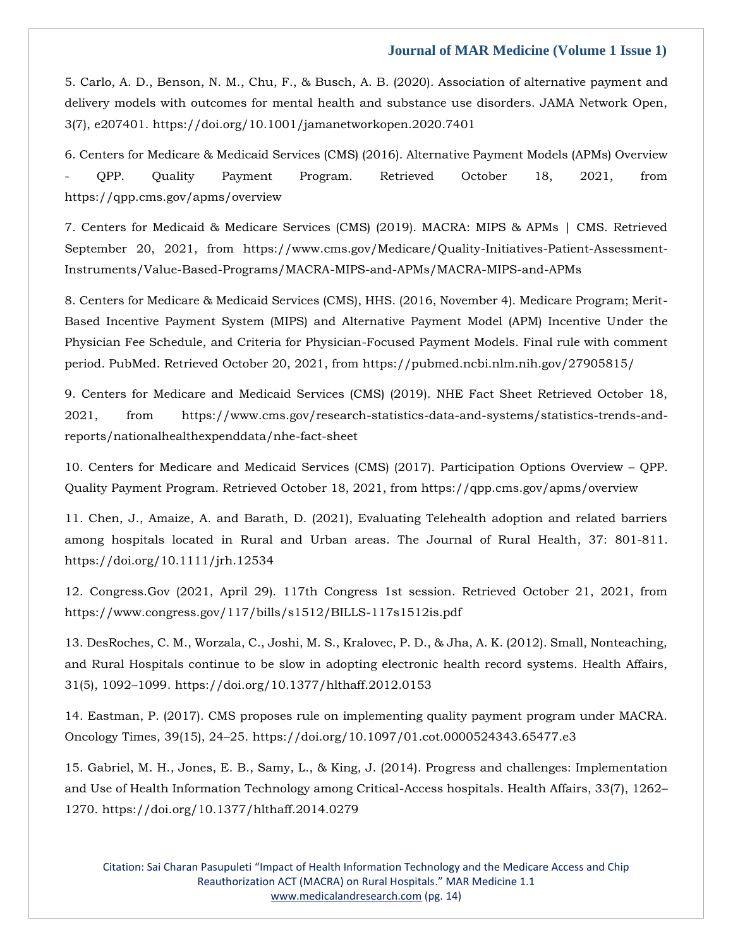[5. Carlo, A. D., Benson, N. M., Chu, F., & Busch, A. B. \(2020\). Association of alternative payment and](file:///C:/Users/Arief%20Mahimudh/Desktop/MAY/5.%20Carlo,%20A.%20D.,%20Benson,%20N.%20M.,%20Chu,%20F.,%20&%20Busch,%20A.%20B.%20(2020).%20Association%20of%20alternative%20payment%20and%20delivery%20models%20with%20outcomes%20for%20mental%20health%20and%20substance%20use%20disorders.%20JAMA%20Network%20Open,%203(7),%20e207401.%20https:/doi.org/10.1001/jamanetworkopen.2020.7401)  [delivery models with outcomes for mental health and substance use disorders. JAMA Network Open,](file:///C:/Users/Arief%20Mahimudh/Desktop/MAY/5.%20Carlo,%20A.%20D.,%20Benson,%20N.%20M.,%20Chu,%20F.,%20&%20Busch,%20A.%20B.%20(2020).%20Association%20of%20alternative%20payment%20and%20delivery%20models%20with%20outcomes%20for%20mental%20health%20and%20substance%20use%20disorders.%20JAMA%20Network%20Open,%203(7),%20e207401.%20https:/doi.org/10.1001/jamanetworkopen.2020.7401)  [3\(7\), e207401. https://doi.org/10.1001/jamanetworkopen.2020.7401](file:///C:/Users/Arief%20Mahimudh/Desktop/MAY/5.%20Carlo,%20A.%20D.,%20Benson,%20N.%20M.,%20Chu,%20F.,%20&%20Busch,%20A.%20B.%20(2020).%20Association%20of%20alternative%20payment%20and%20delivery%20models%20with%20outcomes%20for%20mental%20health%20and%20substance%20use%20disorders.%20JAMA%20Network%20Open,%203(7),%20e207401.%20https:/doi.org/10.1001/jamanetworkopen.2020.7401)

[6. Centers for Medicare & Medicaid Services \(CMS\) \(2016\). Alternative Payment Models \(APMs\) Overview](file:///C:/Users/Arief%20Mahimudh/Desktop/MAY/6.%20Centers%20for%20Medicare%20&%20Medicaid%20Services%20(CMS)%20(2016).%20Alternative%20Payment%20Models%20(APMs)%20Overview%20-%20QPP.%20Quality%20Payment%20Program.%20Retrieved%20October%2018,%202021,%20from%20https:/qpp.cms.gov/apms/overview)  - [QPP. Quality Payment Program. Retrieved October 18, 2021, from](file:///C:/Users/Arief%20Mahimudh/Desktop/MAY/6.%20Centers%20for%20Medicare%20&%20Medicaid%20Services%20(CMS)%20(2016).%20Alternative%20Payment%20Models%20(APMs)%20Overview%20-%20QPP.%20Quality%20Payment%20Program.%20Retrieved%20October%2018,%202021,%20from%20https:/qpp.cms.gov/apms/overview)  [https://qpp.cms.gov/apms/overview](file:///C:/Users/Arief%20Mahimudh/Desktop/MAY/6.%20Centers%20for%20Medicare%20&%20Medicaid%20Services%20(CMS)%20(2016).%20Alternative%20Payment%20Models%20(APMs)%20Overview%20-%20QPP.%20Quality%20Payment%20Program.%20Retrieved%20October%2018,%202021,%20from%20https:/qpp.cms.gov/apms/overview)

[7. Centers for Medicaid & Medicare Services \(CMS\) \(2019\). MACRA: MIPS & APMs | CMS. Retrieved](file:///C:/Users/Arief%20Mahimudh/Desktop/MAY/7.%20Centers%20for%20Medicaid%20&%20Medicare%20Services%20(CMS)%20(2019).%20MACRA:%20MIPS%20&%20APMs%20|%20CMS.%20Retrieved%20September%2020,%202021,%20from%20https:/www.cms.gov/Medicare/Quality-Initiatives-Patient-Assessment-Instruments/Value-Based-Programs/MACRA-MIPS-and-APMs/MACRA-MIPS-and-APMs)  [September 20, 2021, from https://www.cms.gov/Medicare/Quality-Initiatives-Patient-Assessment-](file:///C:/Users/Arief%20Mahimudh/Desktop/MAY/7.%20Centers%20for%20Medicaid%20&%20Medicare%20Services%20(CMS)%20(2019).%20MACRA:%20MIPS%20&%20APMs%20|%20CMS.%20Retrieved%20September%2020,%202021,%20from%20https:/www.cms.gov/Medicare/Quality-Initiatives-Patient-Assessment-Instruments/Value-Based-Programs/MACRA-MIPS-and-APMs/MACRA-MIPS-and-APMs)[Instruments/Value-Based-Programs/MACRA-MIPS-and-APMs/MACRA-MIPS-and-APMs](file:///C:/Users/Arief%20Mahimudh/Desktop/MAY/7.%20Centers%20for%20Medicaid%20&%20Medicare%20Services%20(CMS)%20(2019).%20MACRA:%20MIPS%20&%20APMs%20|%20CMS.%20Retrieved%20September%2020,%202021,%20from%20https:/www.cms.gov/Medicare/Quality-Initiatives-Patient-Assessment-Instruments/Value-Based-Programs/MACRA-MIPS-and-APMs/MACRA-MIPS-and-APMs)

[8. Centers for Medicare & Medicaid Services \(CMS\), HHS. \(2016, November 4\). Medicare Program; Merit-](file:///C:/Users/Arief%20Mahimudh/Desktop/MAY/8.%20Centers%20for%20Medicare%20&%20Medicaid%20Services%20(CMS),%20HHS.%20(2016,%20November%204).%20Medicare%20Program;%20Merit-Based%20Incentive%20Payment%20System%20(MIPS)%20and%20Alternative%20Payment%20Model%20(APM)%20Incentive%20Under%20the%20Physician%20Fee%20Schedule,%20and%20Criteria%20for%20Physician-Focused%20Payment%20Models.%20Final%20rule%20with%20comment%20period.%20PubMed.%20Retrieved%20October%2020,%202021,%20from%20https:/pubmed.ncbi.nlm.nih.gov/27905815/)[Based Incentive Payment System \(MIPS\) and Alternative Payment Model \(APM\) Incentive Under the](file:///C:/Users/Arief%20Mahimudh/Desktop/MAY/8.%20Centers%20for%20Medicare%20&%20Medicaid%20Services%20(CMS),%20HHS.%20(2016,%20November%204).%20Medicare%20Program;%20Merit-Based%20Incentive%20Payment%20System%20(MIPS)%20and%20Alternative%20Payment%20Model%20(APM)%20Incentive%20Under%20the%20Physician%20Fee%20Schedule,%20and%20Criteria%20for%20Physician-Focused%20Payment%20Models.%20Final%20rule%20with%20comment%20period.%20PubMed.%20Retrieved%20October%2020,%202021,%20from%20https:/pubmed.ncbi.nlm.nih.gov/27905815/)  [Physician Fee Schedule, and Criteria for Physician-Focused Payment Models. Final rule with comment](file:///C:/Users/Arief%20Mahimudh/Desktop/MAY/8.%20Centers%20for%20Medicare%20&%20Medicaid%20Services%20(CMS),%20HHS.%20(2016,%20November%204).%20Medicare%20Program;%20Merit-Based%20Incentive%20Payment%20System%20(MIPS)%20and%20Alternative%20Payment%20Model%20(APM)%20Incentive%20Under%20the%20Physician%20Fee%20Schedule,%20and%20Criteria%20for%20Physician-Focused%20Payment%20Models.%20Final%20rule%20with%20comment%20period.%20PubMed.%20Retrieved%20October%2020,%202021,%20from%20https:/pubmed.ncbi.nlm.nih.gov/27905815/)  [period. PubMed. Retrieved October 20, 2021, from https://pubmed.ncbi.nlm.nih.gov/27905815/](file:///C:/Users/Arief%20Mahimudh/Desktop/MAY/8.%20Centers%20for%20Medicare%20&%20Medicaid%20Services%20(CMS),%20HHS.%20(2016,%20November%204).%20Medicare%20Program;%20Merit-Based%20Incentive%20Payment%20System%20(MIPS)%20and%20Alternative%20Payment%20Model%20(APM)%20Incentive%20Under%20the%20Physician%20Fee%20Schedule,%20and%20Criteria%20for%20Physician-Focused%20Payment%20Models.%20Final%20rule%20with%20comment%20period.%20PubMed.%20Retrieved%20October%2020,%202021,%20from%20https:/pubmed.ncbi.nlm.nih.gov/27905815/)

[9. Centers for Medicare and Medicaid Services \(CMS\) \(2019\). NHE Fact Sheet Retrieved October 18,](file:///C:/Users/Arief%20Mahimudh/Desktop/MAY/9.%20Centers%20for%20Medicare%20and%20Medicaid%20Services%20(CMS)%20(2019).%20NHE%20Fact%20Sheet%20Retrieved%20October%2018,%202021,%20from%20https:/www.cms.gov/research-statistics-data-and-systems/statistics-trends-and-reports/nationalhealthexpenddata/nhe-fact-sheet)  [2021, from https://www.cms.gov/research-statistics-data-and-systems/statistics-trends-and](file:///C:/Users/Arief%20Mahimudh/Desktop/MAY/9.%20Centers%20for%20Medicare%20and%20Medicaid%20Services%20(CMS)%20(2019).%20NHE%20Fact%20Sheet%20Retrieved%20October%2018,%202021,%20from%20https:/www.cms.gov/research-statistics-data-and-systems/statistics-trends-and-reports/nationalhealthexpenddata/nhe-fact-sheet)[reports/nationalhealthexpenddata/nhe-fact-sheet](file:///C:/Users/Arief%20Mahimudh/Desktop/MAY/9.%20Centers%20for%20Medicare%20and%20Medicaid%20Services%20(CMS)%20(2019).%20NHE%20Fact%20Sheet%20Retrieved%20October%2018,%202021,%20from%20https:/www.cms.gov/research-statistics-data-and-systems/statistics-trends-and-reports/nationalhealthexpenddata/nhe-fact-sheet)

[10. Centers for Medicare and Medicaid Services \(CMS\) \(2017\). Participation Options Overview](file:///C:/Users/Arief%20Mahimudh/Desktop/MAY/10.%20Centers%20for%20Medicare%20and%20Medicaid%20Services%20(CMS)%20(2017).%20Participation%20Options%20Overview%20–%20QPP.%20Quality%20Payment%20Program.%20Retrieved%20October%2018,%202021,%20from%20https:/qpp.cms.gov/apms/overview) – QPP. [Quality Payment Program. Retrieved October 18, 2021, from https://qpp.cms.gov/apms/overview](file:///C:/Users/Arief%20Mahimudh/Desktop/MAY/10.%20Centers%20for%20Medicare%20and%20Medicaid%20Services%20(CMS)%20(2017).%20Participation%20Options%20Overview%20–%20QPP.%20Quality%20Payment%20Program.%20Retrieved%20October%2018,%202021,%20from%20https:/qpp.cms.gov/apms/overview)

[11. Chen, J., Amaize, A. and Barath, D. \(2021\), Evaluating Telehealth adoption and related barriers](file:///C:/Users/Arief%20Mahimudh/Desktop/MAY/11.%20Chen,%20J.,%20Amaize,%20A.%20and%20Barath,%20D.%20(2021),%20Evaluating%20Telehealth%20adoption%20and%20related%20barriers%20among%20hospitals%20located%20in%20Rural%20and%20Urban%20areas.%20The%20Journal%20of%20Rural%20Health,%2037:%20801-811.%20https:/doi.org/10.1111/jrh.12534)  [among hospitals located in Rural and Urban areas. The Journal of Rural Health, 37: 801-811.](file:///C:/Users/Arief%20Mahimudh/Desktop/MAY/11.%20Chen,%20J.,%20Amaize,%20A.%20and%20Barath,%20D.%20(2021),%20Evaluating%20Telehealth%20adoption%20and%20related%20barriers%20among%20hospitals%20located%20in%20Rural%20and%20Urban%20areas.%20The%20Journal%20of%20Rural%20Health,%2037:%20801-811.%20https:/doi.org/10.1111/jrh.12534)  [https://doi.org/10.1111/jrh.12534](file:///C:/Users/Arief%20Mahimudh/Desktop/MAY/11.%20Chen,%20J.,%20Amaize,%20A.%20and%20Barath,%20D.%20(2021),%20Evaluating%20Telehealth%20adoption%20and%20related%20barriers%20among%20hospitals%20located%20in%20Rural%20and%20Urban%20areas.%20The%20Journal%20of%20Rural%20Health,%2037:%20801-811.%20https:/doi.org/10.1111/jrh.12534)

[12. Congress.Gov \(2021, April 29\). 117th Congress 1st session. Retrieved October 21, 2021, from](file:///C:/Users/Arief%20Mahimudh/Desktop/MAY/12.%20Congress.Gov%20(2021,%20April%2029).%20117th%20Congress%201st%20session.%20Retrieved%20October%2021,%202021,%20from%20https:/www.congress.gov/117/bills/s1512/BILLS-117s1512is.pdf)  [https://www.congress.gov/117/bills/s1512/BILLS-117s1512is.pdf](file:///C:/Users/Arief%20Mahimudh/Desktop/MAY/12.%20Congress.Gov%20(2021,%20April%2029).%20117th%20Congress%201st%20session.%20Retrieved%20October%2021,%202021,%20from%20https:/www.congress.gov/117/bills/s1512/BILLS-117s1512is.pdf)

[13. DesRoches, C. M., Worzala, C., Joshi, M. S., Kralovec, P. D., & Jha, A. K. \(2012\). Small, Nonteaching,](file:///C:/Users/Arief%20Mahimudh/Desktop/MAY/13.%20DesRoches,%20C.%20M.,%20Worzala,%20C.,%20Joshi,%20M.%20S.,%20Kralovec,%20P.%20D.,%20&%20Jha,%20A.%20K.%20(2012).%20Small,%20Nonteaching,%20and%20Rural%20Hospitals%20continue%20to%20be%20slow%20in%20adopting%20electronic%20health%20record%20systems.%20Health%20Affairs,%2031(5),%201092–1099.%20https:/doi.org/10.1377/hlthaff.2012.0153)  [and Rural Hospitals continue to be slow in adopting electronic health record systems. Health Affairs,](file:///C:/Users/Arief%20Mahimudh/Desktop/MAY/13.%20DesRoches,%20C.%20M.,%20Worzala,%20C.,%20Joshi,%20M.%20S.,%20Kralovec,%20P.%20D.,%20&%20Jha,%20A.%20K.%20(2012).%20Small,%20Nonteaching,%20and%20Rural%20Hospitals%20continue%20to%20be%20slow%20in%20adopting%20electronic%20health%20record%20systems.%20Health%20Affairs,%2031(5),%201092–1099.%20https:/doi.org/10.1377/hlthaff.2012.0153)  31(5), 1092–[1099. https://doi.org/10.1377/hlthaff.2012.0153](file:///C:/Users/Arief%20Mahimudh/Desktop/MAY/13.%20DesRoches,%20C.%20M.,%20Worzala,%20C.,%20Joshi,%20M.%20S.,%20Kralovec,%20P.%20D.,%20&%20Jha,%20A.%20K.%20(2012).%20Small,%20Nonteaching,%20and%20Rural%20Hospitals%20continue%20to%20be%20slow%20in%20adopting%20electronic%20health%20record%20systems.%20Health%20Affairs,%2031(5),%201092–1099.%20https:/doi.org/10.1377/hlthaff.2012.0153)

[14. Eastman, P. \(2017\). CMS proposes rule on implementing quality payment program under MACRA.](file:///C:/Users/Arief%20Mahimudh/Desktop/MAY/14.%20Eastman,%20P.%20(2017).%20CMS%20proposes%20rule%20on%20implementing%20quality%20payment%20program%20under%20MACRA.%20Oncology%20Times,%2039(15),%2024–25.%20https:/doi.org/10.1097/01.cot.0000524343.65477.e3)  Oncology Times, 39(15), 24–[25. https://doi.org/10.1097/01.cot.0000524343.65477.e3](file:///C:/Users/Arief%20Mahimudh/Desktop/MAY/14.%20Eastman,%20P.%20(2017).%20CMS%20proposes%20rule%20on%20implementing%20quality%20payment%20program%20under%20MACRA.%20Oncology%20Times,%2039(15),%2024–25.%20https:/doi.org/10.1097/01.cot.0000524343.65477.e3)

[15. Gabriel, M. H., Jones, E. B., Samy, L., & King, J. \(2014\). Progress and challenges: Implementation](file:///C:/Users/Arief%20Mahimudh/Desktop/MAY/15.%20Gabriel,%20M.%20H.,%20Jones,%20E.%20B.,%20Samy,%20L.,%20&%20King,%20J.%20(2014).%20Progress%20and%20challenges:%20Implementation%20and%20Use%20of%20Health%20Information%20Technology%20among%20Critical-Access%20hospitals.%20Health%20Affairs,%2033(7),%201262–1270.%20https:/doi.org/10.1377/hlthaff.2014.0279)  [and Use of Health Information Technology among Critical-Access hospitals. Health Affairs, 33\(7\), 1262](file:///C:/Users/Arief%20Mahimudh/Desktop/MAY/15.%20Gabriel,%20M.%20H.,%20Jones,%20E.%20B.,%20Samy,%20L.,%20&%20King,%20J.%20(2014).%20Progress%20and%20challenges:%20Implementation%20and%20Use%20of%20Health%20Information%20Technology%20among%20Critical-Access%20hospitals.%20Health%20Affairs,%2033(7),%201262–1270.%20https:/doi.org/10.1377/hlthaff.2014.0279)– [1270. https://doi.org/10.1377/hlthaff.2014.0279](file:///C:/Users/Arief%20Mahimudh/Desktop/MAY/15.%20Gabriel,%20M.%20H.,%20Jones,%20E.%20B.,%20Samy,%20L.,%20&%20King,%20J.%20(2014).%20Progress%20and%20challenges:%20Implementation%20and%20Use%20of%20Health%20Information%20Technology%20among%20Critical-Access%20hospitals.%20Health%20Affairs,%2033(7),%201262–1270.%20https:/doi.org/10.1377/hlthaff.2014.0279)

Citation: Sai Charan Pasupuleti "Impact of Health Information Technology and the Medicare Access and Chip Reauthorization ACT (MACRA) on Rural Hospitals." MAR Medicine 1.1 [www.medicalandresearch.com](http://www.medicalandresearch.com/) (pg. 14)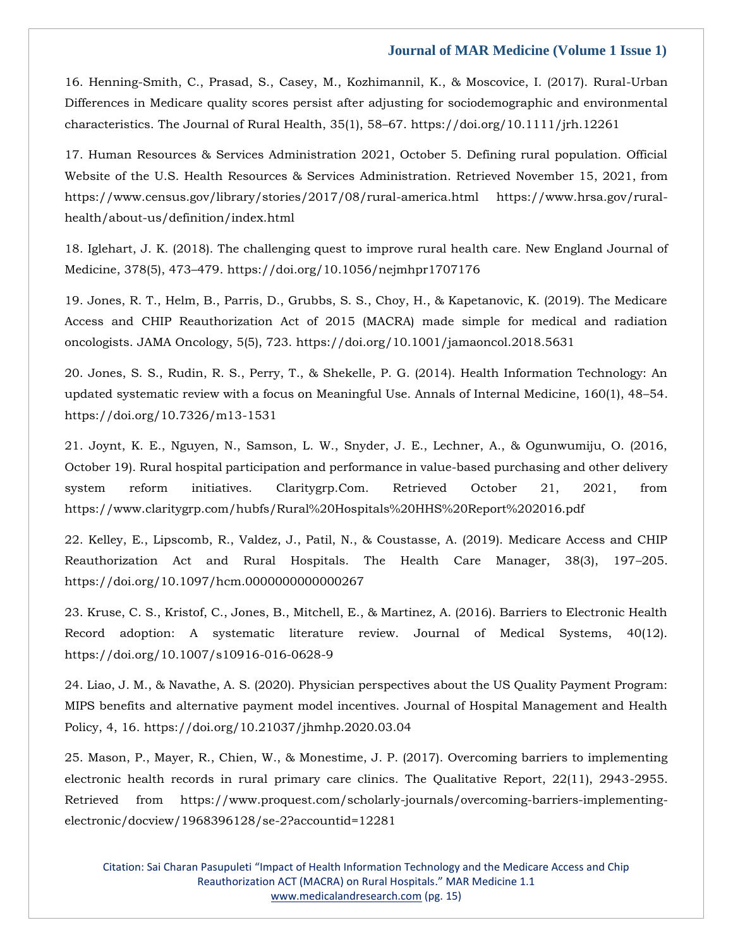[16. Henning-Smith, C., Prasad, S., Casey, M., Kozhimannil, K., & Moscovice, I. \(2017\). Rural-Urban](file:///C:/Users/Arief%20Mahimudh/Desktop/MAY/16.%20Henning-Smith,%20C.,%20Prasad,%20S.,%20Casey,%20M.,%20Kozhimannil,%20K.,%20&%20Moscovice,%20I.%20(2017).%20Rural-Urban%20Differences%20in%20Medicare%20quality%20scores%20persist%20after%20adjusting%20for%20sociodemographic%20and%20environmental%20characteristics.%20The%20Journal%20of%20Rural%20Health,%2035(1),%2058–67.%20https:/doi.org/10.1111/jrh.12261)  [Differences in Medicare quality scores persist after adjusting for sociodemographic and environmental](file:///C:/Users/Arief%20Mahimudh/Desktop/MAY/16.%20Henning-Smith,%20C.,%20Prasad,%20S.,%20Casey,%20M.,%20Kozhimannil,%20K.,%20&%20Moscovice,%20I.%20(2017).%20Rural-Urban%20Differences%20in%20Medicare%20quality%20scores%20persist%20after%20adjusting%20for%20sociodemographic%20and%20environmental%20characteristics.%20The%20Journal%20of%20Rural%20Health,%2035(1),%2058–67.%20https:/doi.org/10.1111/jrh.12261)  [characteristics. The Journal of Rural Health, 35\(1\), 58](file:///C:/Users/Arief%20Mahimudh/Desktop/MAY/16.%20Henning-Smith,%20C.,%20Prasad,%20S.,%20Casey,%20M.,%20Kozhimannil,%20K.,%20&%20Moscovice,%20I.%20(2017).%20Rural-Urban%20Differences%20in%20Medicare%20quality%20scores%20persist%20after%20adjusting%20for%20sociodemographic%20and%20environmental%20characteristics.%20The%20Journal%20of%20Rural%20Health,%2035(1),%2058–67.%20https:/doi.org/10.1111/jrh.12261)–67. https://doi.org/10.1111/jrh.12261

[17. Human Resources & Services Administration 2021, October 5. Defining rural population. Official](file:///C:/Users/Arief%20Mahimudh/Desktop/MAY/17.%20Human%20Resources%20&%20Services%20Administration%202021,%20October%205.%20Defining%20rural%20population.%20Official%20Website%20of%20the%20U.S.%20Health%20Resources%20&%20Services%20Administration.%20Retrieved%20November%2015,%202021,%20from%20https:/www.census.gov/library/stories/2017/08/rural-america.html%20https:/www.hrsa.gov/rural-health/about-us/definition/index.html)  [Website of the U.S. Health Resources & Services Administration. Retrieved November 15, 2021, from](file:///C:/Users/Arief%20Mahimudh/Desktop/MAY/17.%20Human%20Resources%20&%20Services%20Administration%202021,%20October%205.%20Defining%20rural%20population.%20Official%20Website%20of%20the%20U.S.%20Health%20Resources%20&%20Services%20Administration.%20Retrieved%20November%2015,%202021,%20from%20https:/www.census.gov/library/stories/2017/08/rural-america.html%20https:/www.hrsa.gov/rural-health/about-us/definition/index.html)  [https://www.census.gov/library/stories/2017/08/rural-america.html https://www.hrsa.gov/rural](file:///C:/Users/Arief%20Mahimudh/Desktop/MAY/17.%20Human%20Resources%20&%20Services%20Administration%202021,%20October%205.%20Defining%20rural%20population.%20Official%20Website%20of%20the%20U.S.%20Health%20Resources%20&%20Services%20Administration.%20Retrieved%20November%2015,%202021,%20from%20https:/www.census.gov/library/stories/2017/08/rural-america.html%20https:/www.hrsa.gov/rural-health/about-us/definition/index.html)[health/about-us/definition/index.html](file:///C:/Users/Arief%20Mahimudh/Desktop/MAY/17.%20Human%20Resources%20&%20Services%20Administration%202021,%20October%205.%20Defining%20rural%20population.%20Official%20Website%20of%20the%20U.S.%20Health%20Resources%20&%20Services%20Administration.%20Retrieved%20November%2015,%202021,%20from%20https:/www.census.gov/library/stories/2017/08/rural-america.html%20https:/www.hrsa.gov/rural-health/about-us/definition/index.html)

[18. Iglehart, J. K. \(2018\). The challenging quest to improve rural health care. New England Journal of](file:///C:/Users/Arief%20Mahimudh/Desktop/MAY/18.%20Iglehart,%20J.%20K.%20(2018).%20The%20challenging%20quest%20to%20improve%20rural%20health%20care.%20New%20England%20Journal%20of%20Medicine,%20378(5),%20473–479.%20https:/doi.org/10.1056/nejmhpr1707176)  Medicine, 378(5), 473–[479. https://doi.org/10.1056/nejmhpr1707176](file:///C:/Users/Arief%20Mahimudh/Desktop/MAY/18.%20Iglehart,%20J.%20K.%20(2018).%20The%20challenging%20quest%20to%20improve%20rural%20health%20care.%20New%20England%20Journal%20of%20Medicine,%20378(5),%20473–479.%20https:/doi.org/10.1056/nejmhpr1707176)

[19. Jones, R. T., Helm, B., Parris, D., Grubbs, S. S., Choy, H., & Kapetanovic, K. \(2019\). The Medicare](file:///C:/Users/Arief%20Mahimudh/Desktop/MAY/19.%20Jones,%20R.%20T.,%20Helm,%20B.,%20Parris,%20D.,%20Grubbs,%20S.%20S.,%20Choy,%20H.,%20&%20Kapetanovic,%20K.%20(2019).%20The%20Medicare%20Access%20and%20CHIP%20Reauthorization%20Act%20of%202015%20(MACRA)%20made%20simple%20for%20medical%20and%20radiation%20oncologists.%20JAMA%20Oncology,%205(5),%20723.%20https:/doi.org/10.1001/jamaoncol.2018.5631)  [Access and CHIP Reauthorization Act of 2015 \(MACRA\) made simple for medical and radiation](file:///C:/Users/Arief%20Mahimudh/Desktop/MAY/19.%20Jones,%20R.%20T.,%20Helm,%20B.,%20Parris,%20D.,%20Grubbs,%20S.%20S.,%20Choy,%20H.,%20&%20Kapetanovic,%20K.%20(2019).%20The%20Medicare%20Access%20and%20CHIP%20Reauthorization%20Act%20of%202015%20(MACRA)%20made%20simple%20for%20medical%20and%20radiation%20oncologists.%20JAMA%20Oncology,%205(5),%20723.%20https:/doi.org/10.1001/jamaoncol.2018.5631)  [oncologists. JAMA Oncology, 5\(5\), 723. https://doi.org/10.1001/jamaoncol.2018.5631](file:///C:/Users/Arief%20Mahimudh/Desktop/MAY/19.%20Jones,%20R.%20T.,%20Helm,%20B.,%20Parris,%20D.,%20Grubbs,%20S.%20S.,%20Choy,%20H.,%20&%20Kapetanovic,%20K.%20(2019).%20The%20Medicare%20Access%20and%20CHIP%20Reauthorization%20Act%20of%202015%20(MACRA)%20made%20simple%20for%20medical%20and%20radiation%20oncologists.%20JAMA%20Oncology,%205(5),%20723.%20https:/doi.org/10.1001/jamaoncol.2018.5631)

[20. Jones, S. S., Rudin, R. S., Perry, T., & Shekelle, P. G. \(2014\). Health Information Technology: An](file:///C:/Users/Arief%20Mahimudh/Desktop/MAY/20.%20Jones,%20S.%20S.,%20Rudin,%20R.%20S.,%20Perry,%20T.,%20&%20Shekelle,%20P.%20G.%20(2014).%20Health%20Information%20Technology:%20An%20updated%20systematic%20review%20with%20a%20focus%20on%20Meaningful%20Use.%20Annals%20of%20Internal%20Medicine,%20160(1),%2048–54.%20https:/doi.org/10.7326/m13-1531)  [updated systematic review with a focus on Meaningful Use. Annals of Internal Medicine, 160\(1\), 48](file:///C:/Users/Arief%20Mahimudh/Desktop/MAY/20.%20Jones,%20S.%20S.,%20Rudin,%20R.%20S.,%20Perry,%20T.,%20&%20Shekelle,%20P.%20G.%20(2014).%20Health%20Information%20Technology:%20An%20updated%20systematic%20review%20with%20a%20focus%20on%20Meaningful%20Use.%20Annals%20of%20Internal%20Medicine,%20160(1),%2048–54.%20https:/doi.org/10.7326/m13-1531)–54. [https://doi.org/10.7326/m13-1531](file:///C:/Users/Arief%20Mahimudh/Desktop/MAY/20.%20Jones,%20S.%20S.,%20Rudin,%20R.%20S.,%20Perry,%20T.,%20&%20Shekelle,%20P.%20G.%20(2014).%20Health%20Information%20Technology:%20An%20updated%20systematic%20review%20with%20a%20focus%20on%20Meaningful%20Use.%20Annals%20of%20Internal%20Medicine,%20160(1),%2048–54.%20https:/doi.org/10.7326/m13-1531)

[21. Joynt, K. E., Nguyen, N., Samson, L. W., Snyder, J. E., Lechner, A., & Ogunwumiju, O. \(2016,](file:///C:/Users/Arief%20Mahimudh/Desktop/MAY/21.%20Joynt,%20K.%20E.,%20Nguyen,%20N.,%20Samson,%20L.%20W.,%20Snyder,%20J.%20E.,%20Lechner,%20A.,%20&%20Ogunwumiju,%20O.%20(2016,%20October%2019).%20Rural%20hospital%20participation%20and%20performance%20in%20value-based%20purchasing%20and%20other%20delivery%20system%20reform%20initiatives.%20Claritygrp.Com.%20Retrieved%20October%2021,%202021,%20from%20https:/www.claritygrp.com/hubfs/Rural%20Hospitals%20HHS%20Report%202016.pdf)  [October 19\). Rural hospital participation and performance in value-based purchasing and other delivery](file:///C:/Users/Arief%20Mahimudh/Desktop/MAY/21.%20Joynt,%20K.%20E.,%20Nguyen,%20N.,%20Samson,%20L.%20W.,%20Snyder,%20J.%20E.,%20Lechner,%20A.,%20&%20Ogunwumiju,%20O.%20(2016,%20October%2019).%20Rural%20hospital%20participation%20and%20performance%20in%20value-based%20purchasing%20and%20other%20delivery%20system%20reform%20initiatives.%20Claritygrp.Com.%20Retrieved%20October%2021,%202021,%20from%20https:/www.claritygrp.com/hubfs/Rural%20Hospitals%20HHS%20Report%202016.pdf)  [system reform initiatives. Claritygrp.Com. Retrieved October 21, 2021, from](file:///C:/Users/Arief%20Mahimudh/Desktop/MAY/21.%20Joynt,%20K.%20E.,%20Nguyen,%20N.,%20Samson,%20L.%20W.,%20Snyder,%20J.%20E.,%20Lechner,%20A.,%20&%20Ogunwumiju,%20O.%20(2016,%20October%2019).%20Rural%20hospital%20participation%20and%20performance%20in%20value-based%20purchasing%20and%20other%20delivery%20system%20reform%20initiatives.%20Claritygrp.Com.%20Retrieved%20October%2021,%202021,%20from%20https:/www.claritygrp.com/hubfs/Rural%20Hospitals%20HHS%20Report%202016.pdf)  [https://www.claritygrp.com/hubfs/Rural%20Hospitals%20HHS%20Report%202016.pdf](file:///C:/Users/Arief%20Mahimudh/Desktop/MAY/21.%20Joynt,%20K.%20E.,%20Nguyen,%20N.,%20Samson,%20L.%20W.,%20Snyder,%20J.%20E.,%20Lechner,%20A.,%20&%20Ogunwumiju,%20O.%20(2016,%20October%2019).%20Rural%20hospital%20participation%20and%20performance%20in%20value-based%20purchasing%20and%20other%20delivery%20system%20reform%20initiatives.%20Claritygrp.Com.%20Retrieved%20October%2021,%202021,%20from%20https:/www.claritygrp.com/hubfs/Rural%20Hospitals%20HHS%20Report%202016.pdf)

[22. Kelley, E., Lipscomb, R., Valdez, J., Patil, N., & Coustasse, A. \(2019\). Medicare Access and CHIP](file:///C:/Users/Arief%20Mahimudh/Desktop/MAY/22.%20Kelley,%20E.,%20Lipscomb,%20R.,%20Valdez,%20J.,%20Patil,%20N.,%20&%20Coustasse,%20A.%20(2019).%20Medicare%20Access%20and%20CHIP%20Reauthorization%20Act%20and%20Rural%20Hospitals.%20The%20Health%20Care%20Manager,%2038(3),%20197–205.%20https:/doi.org/10.1097/hcm.0000000000000267)  [Reauthorization Act and Rural Hospitals. The Health Care Manager, 38\(3\), 197](file:///C:/Users/Arief%20Mahimudh/Desktop/MAY/22.%20Kelley,%20E.,%20Lipscomb,%20R.,%20Valdez,%20J.,%20Patil,%20N.,%20&%20Coustasse,%20A.%20(2019).%20Medicare%20Access%20and%20CHIP%20Reauthorization%20Act%20and%20Rural%20Hospitals.%20The%20Health%20Care%20Manager,%2038(3),%20197–205.%20https:/doi.org/10.1097/hcm.0000000000000267)–205. [https://doi.org/10.1097/hcm.0000000000000267](file:///C:/Users/Arief%20Mahimudh/Desktop/MAY/22.%20Kelley,%20E.,%20Lipscomb,%20R.,%20Valdez,%20J.,%20Patil,%20N.,%20&%20Coustasse,%20A.%20(2019).%20Medicare%20Access%20and%20CHIP%20Reauthorization%20Act%20and%20Rural%20Hospitals.%20The%20Health%20Care%20Manager,%2038(3),%20197–205.%20https:/doi.org/10.1097/hcm.0000000000000267)

[23. Kruse, C. S., Kristof, C., Jones, B., Mitchell, E., & Martinez, A. \(2016\). Barriers to Electronic Health](file:///C:/Users/Arief%20Mahimudh/Desktop/MAY/23.%20Kruse,%20C.%20S.,%20Kristof,%20C.,%20Jones,%20B.,%20Mitchell,%20E.,%20&%20Martinez,%20A.%20(2016).%20Barriers%20to%20Electronic%20Health%20Record%20adoption:%20A%20systematic%20literature%20review.%20Journal%20of%20Medical%20Systems,%2040(12).%20https:/doi.org/10.1007/s10916-016-0628-9)  [Record adoption: A systematic literature review. Journal of Medical Systems, 40\(12\).](file:///C:/Users/Arief%20Mahimudh/Desktop/MAY/23.%20Kruse,%20C.%20S.,%20Kristof,%20C.,%20Jones,%20B.,%20Mitchell,%20E.,%20&%20Martinez,%20A.%20(2016).%20Barriers%20to%20Electronic%20Health%20Record%20adoption:%20A%20systematic%20literature%20review.%20Journal%20of%20Medical%20Systems,%2040(12).%20https:/doi.org/10.1007/s10916-016-0628-9)  [https://doi.org/10.1007/s10916-016-0628-9](file:///C:/Users/Arief%20Mahimudh/Desktop/MAY/23.%20Kruse,%20C.%20S.,%20Kristof,%20C.,%20Jones,%20B.,%20Mitchell,%20E.,%20&%20Martinez,%20A.%20(2016).%20Barriers%20to%20Electronic%20Health%20Record%20adoption:%20A%20systematic%20literature%20review.%20Journal%20of%20Medical%20Systems,%2040(12).%20https:/doi.org/10.1007/s10916-016-0628-9)

[24. Liao, J. M., & Navathe, A. S. \(2020\). Physician perspectives about the US Quality Payment Program:](file:///C:/Users/Arief%20Mahimudh/Desktop/MAY/24.%20Liao,%20J.%20M.,%20&%20Navathe,%20A.%20S.%20(2020).%20Physician%20perspectives%20about%20the%20US%20Quality%20Payment%20Program:%20MIPS%20benefits%20and%20alternative%20payment%20model%20incentives.%20Journal%20of%20Hospital%20Management%20and%20Health%20Policy,%204,%2016.%20https:/doi.org/10.21037/jhmhp.2020.03.04)  [MIPS benefits and alternative payment model incentives. Journal of Hospital Management and Health](file:///C:/Users/Arief%20Mahimudh/Desktop/MAY/24.%20Liao,%20J.%20M.,%20&%20Navathe,%20A.%20S.%20(2020).%20Physician%20perspectives%20about%20the%20US%20Quality%20Payment%20Program:%20MIPS%20benefits%20and%20alternative%20payment%20model%20incentives.%20Journal%20of%20Hospital%20Management%20and%20Health%20Policy,%204,%2016.%20https:/doi.org/10.21037/jhmhp.2020.03.04)  [Policy, 4, 16. https://doi.org/10.21037/jhmhp.2020.03.04](file:///C:/Users/Arief%20Mahimudh/Desktop/MAY/24.%20Liao,%20J.%20M.,%20&%20Navathe,%20A.%20S.%20(2020).%20Physician%20perspectives%20about%20the%20US%20Quality%20Payment%20Program:%20MIPS%20benefits%20and%20alternative%20payment%20model%20incentives.%20Journal%20of%20Hospital%20Management%20and%20Health%20Policy,%204,%2016.%20https:/doi.org/10.21037/jhmhp.2020.03.04)

[25. Mason, P., Mayer, R., Chien, W., & Monestime, J. P. \(2017\). Overcoming barriers to implementing](file:///C:/Users/Arief%20Mahimudh/Desktop/MAY/25.%20Mason,%20P.,%20Mayer,%20R.,%20Chien,%20W.,%20&%20Monestime,%20J.%20P.%20(2017).%20Overcoming%20barriers%20to%20implementing%20electronic%20health%20records%20in%20rural%20primary%20care%20clinics.%20The%20Qualitative%20Report,%2022(11),%202943-2955.%20Retrieved%20from%20https:/www.proquest.com/scholarly-journals/overcoming-barriers-implementing-electronic/docview/1968396128/se-2?accountid=12281)  [electronic health records in rural primary care clinics. The Qualitative Report, 22\(11\), 2943-2955.](file:///C:/Users/Arief%20Mahimudh/Desktop/MAY/25.%20Mason,%20P.,%20Mayer,%20R.,%20Chien,%20W.,%20&%20Monestime,%20J.%20P.%20(2017).%20Overcoming%20barriers%20to%20implementing%20electronic%20health%20records%20in%20rural%20primary%20care%20clinics.%20The%20Qualitative%20Report,%2022(11),%202943-2955.%20Retrieved%20from%20https:/www.proquest.com/scholarly-journals/overcoming-barriers-implementing-electronic/docview/1968396128/se-2?accountid=12281)  [Retrieved from https://www.proquest.com/scholarly-journals/overcoming-barriers-implementing](file:///C:/Users/Arief%20Mahimudh/Desktop/MAY/25.%20Mason,%20P.,%20Mayer,%20R.,%20Chien,%20W.,%20&%20Monestime,%20J.%20P.%20(2017).%20Overcoming%20barriers%20to%20implementing%20electronic%20health%20records%20in%20rural%20primary%20care%20clinics.%20The%20Qualitative%20Report,%2022(11),%202943-2955.%20Retrieved%20from%20https:/www.proquest.com/scholarly-journals/overcoming-barriers-implementing-electronic/docview/1968396128/se-2?accountid=12281)[electronic/docview/1968396128/se-2?accountid=12281](file:///C:/Users/Arief%20Mahimudh/Desktop/MAY/25.%20Mason,%20P.,%20Mayer,%20R.,%20Chien,%20W.,%20&%20Monestime,%20J.%20P.%20(2017).%20Overcoming%20barriers%20to%20implementing%20electronic%20health%20records%20in%20rural%20primary%20care%20clinics.%20The%20Qualitative%20Report,%2022(11),%202943-2955.%20Retrieved%20from%20https:/www.proquest.com/scholarly-journals/overcoming-barriers-implementing-electronic/docview/1968396128/se-2?accountid=12281)

Citation: Sai Charan Pasupuleti "Impact of Health Information Technology and the Medicare Access and Chip Reauthorization ACT (MACRA) on Rural Hospitals." MAR Medicine 1.1 [www.medicalandresearch.com](http://www.medicalandresearch.com/) (pg. 15)